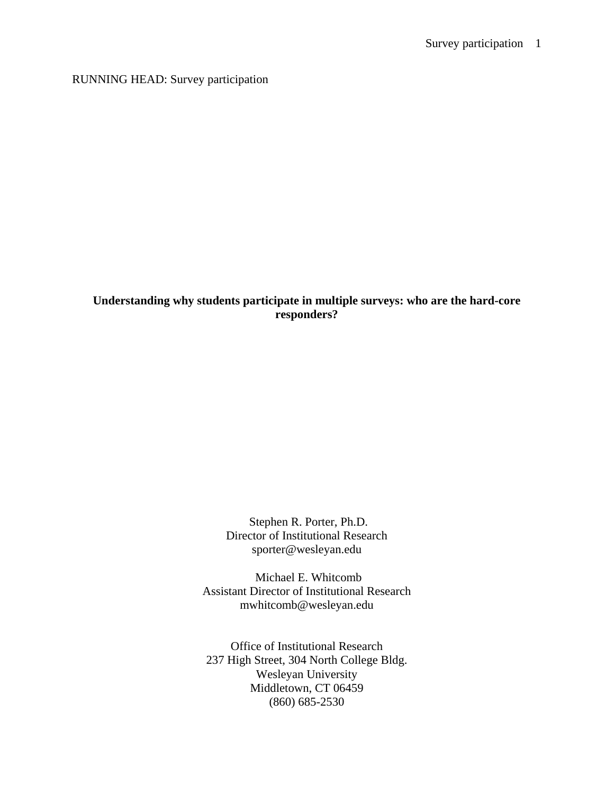RUNNING HEAD: Survey participation

# **Understanding why students participate in multiple surveys: who are the hard-core responders?**

Stephen R. Porter, Ph.D. Director of Institutional Research sporter@wesleyan.edu

Michael E. Whitcomb Assistant Director of Institutional Research mwhitcomb@wesleyan.edu

Office of Institutional Research 237 High Street, 304 North College Bldg. Wesleyan University Middletown, CT 06459 (860) 685-2530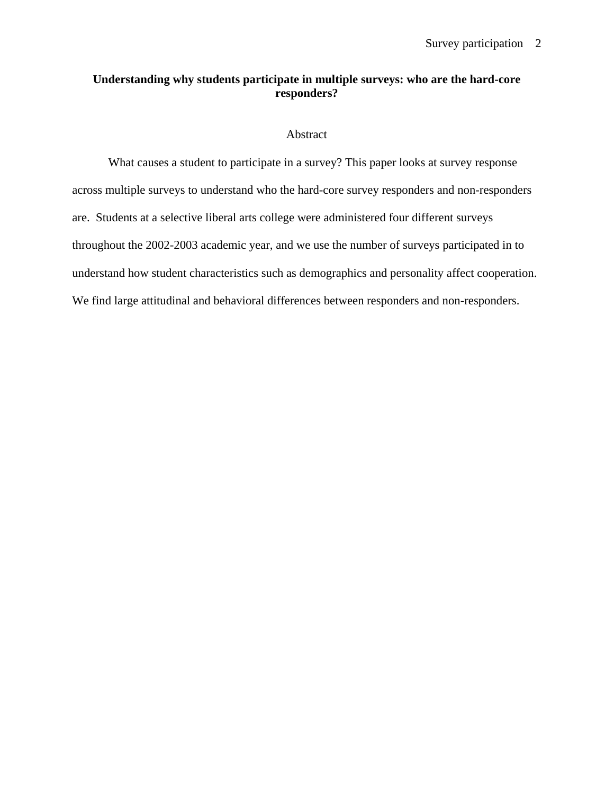# **Understanding why students participate in multiple surveys: who are the hard-core responders?**

## Abstract

What causes a student to participate in a survey? This paper looks at survey response across multiple surveys to understand who the hard-core survey responders and non-responders are. Students at a selective liberal arts college were administered four different surveys throughout the 2002-2003 academic year, and we use the number of surveys participated in to understand how student characteristics such as demographics and personality affect cooperation. We find large attitudinal and behavioral differences between responders and non-responders.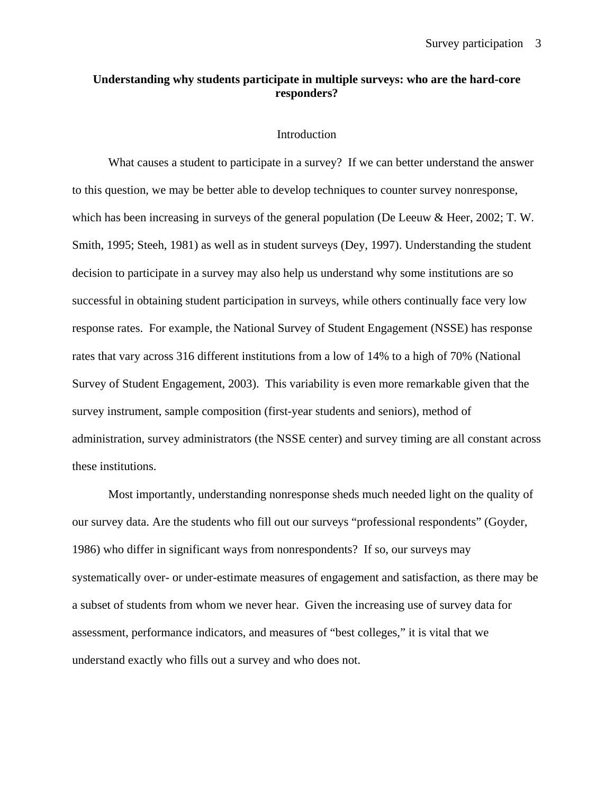# **Understanding why students participate in multiple surveys: who are the hard-core responders?**

#### Introduction

What causes a student to participate in a survey? If we can better understand the answer to this question, we may be better able to develop techniques to counter survey nonresponse, which has been increasing in surveys of the general population (De Leeuw & Heer, 2002; T. W. Smith, 1995; Steeh, 1981) as well as in student surveys (Dey, 1997). Understanding the student decision to participate in a survey may also help us understand why some institutions are so successful in obtaining student participation in surveys, while others continually face very low response rates. For example, the National Survey of Student Engagement (NSSE) has response rates that vary across 316 different institutions from a low of 14% to a high of 70% (National Survey of Student Engagement, 2003). This variability is even more remarkable given that the survey instrument, sample composition (first-year students and seniors), method of administration, survey administrators (the NSSE center) and survey timing are all constant across these institutions.

Most importantly, understanding nonresponse sheds much needed light on the quality of our survey data. Are the students who fill out our surveys "professional respondents" (Goyder, 1986) who differ in significant ways from nonrespondents? If so, our surveys may systematically over- or under-estimate measures of engagement and satisfaction, as there may be a subset of students from whom we never hear. Given the increasing use of survey data for assessment, performance indicators, and measures of "best colleges," it is vital that we understand exactly who fills out a survey and who does not.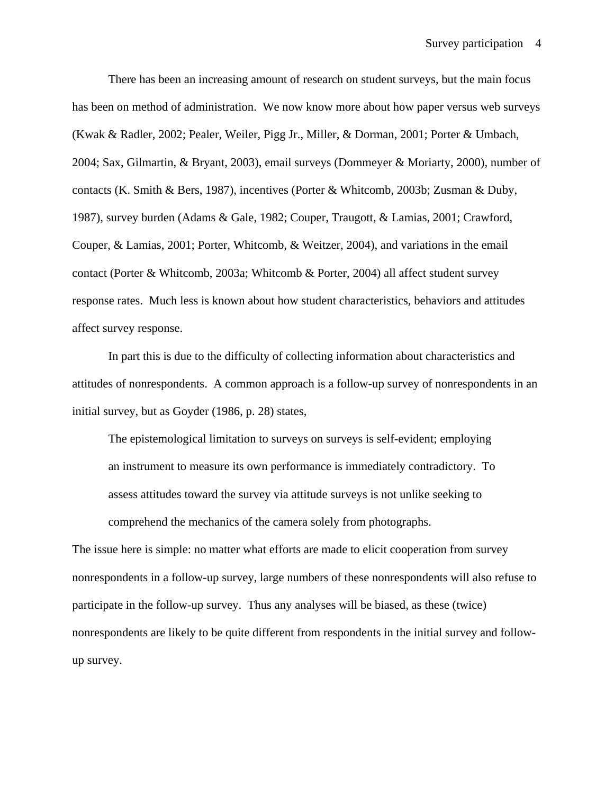There has been an increasing amount of research on student surveys, but the main focus has been on method of administration. We now know more about how paper versus web surveys (Kwak & Radler, 2002; Pealer, Weiler, Pigg Jr., Miller, & Dorman, 2001; Porter & Umbach, 2004; Sax, Gilmartin, & Bryant, 2003), email surveys (Dommeyer & Moriarty, 2000), number of contacts (K. Smith & Bers, 1987), incentives (Porter & Whitcomb, 2003b; Zusman & Duby, 1987), survey burden (Adams & Gale, 1982; Couper, Traugott, & Lamias, 2001; Crawford, Couper, & Lamias, 2001; Porter, Whitcomb, & Weitzer, 2004), and variations in the email contact (Porter & Whitcomb, 2003a; Whitcomb & Porter, 2004) all affect student survey response rates. Much less is known about how student characteristics, behaviors and attitudes affect survey response.

In part this is due to the difficulty of collecting information about characteristics and attitudes of nonrespondents. A common approach is a follow-up survey of nonrespondents in an initial survey, but as Goyder (1986, p. 28) states,

The epistemological limitation to surveys on surveys is self-evident; employing an instrument to measure its own performance is immediately contradictory. To assess attitudes toward the survey via attitude surveys is not unlike seeking to comprehend the mechanics of the camera solely from photographs.

The issue here is simple: no matter what efforts are made to elicit cooperation from survey nonrespondents in a follow-up survey, large numbers of these nonrespondents will also refuse to participate in the follow-up survey. Thus any analyses will be biased, as these (twice) nonrespondents are likely to be quite different from respondents in the initial survey and followup survey.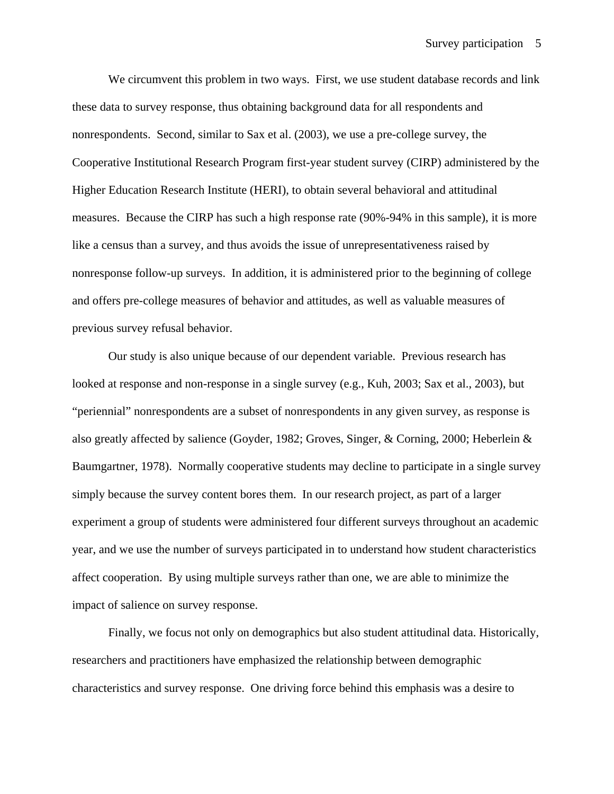We circumvent this problem in two ways. First, we use student database records and link these data to survey response, thus obtaining background data for all respondents and nonrespondents. Second, similar to Sax et al. (2003), we use a pre-college survey, the Cooperative Institutional Research Program first-year student survey (CIRP) administered by the Higher Education Research Institute (HERI), to obtain several behavioral and attitudinal measures. Because the CIRP has such a high response rate (90%-94% in this sample), it is more like a census than a survey, and thus avoids the issue of unrepresentativeness raised by nonresponse follow-up surveys. In addition, it is administered prior to the beginning of college and offers pre-college measures of behavior and attitudes, as well as valuable measures of previous survey refusal behavior.

Our study is also unique because of our dependent variable. Previous research has looked at response and non-response in a single survey (e.g., Kuh, 2003; Sax et al., 2003), but "periennial" nonrespondents are a subset of nonrespondents in any given survey, as response is also greatly affected by salience (Goyder, 1982; Groves, Singer, & Corning, 2000; Heberlein & Baumgartner, 1978). Normally cooperative students may decline to participate in a single survey simply because the survey content bores them. In our research project, as part of a larger experiment a group of students were administered four different surveys throughout an academic year, and we use the number of surveys participated in to understand how student characteristics affect cooperation. By using multiple surveys rather than one, we are able to minimize the impact of salience on survey response.

Finally, we focus not only on demographics but also student attitudinal data. Historically, researchers and practitioners have emphasized the relationship between demographic characteristics and survey response. One driving force behind this emphasis was a desire to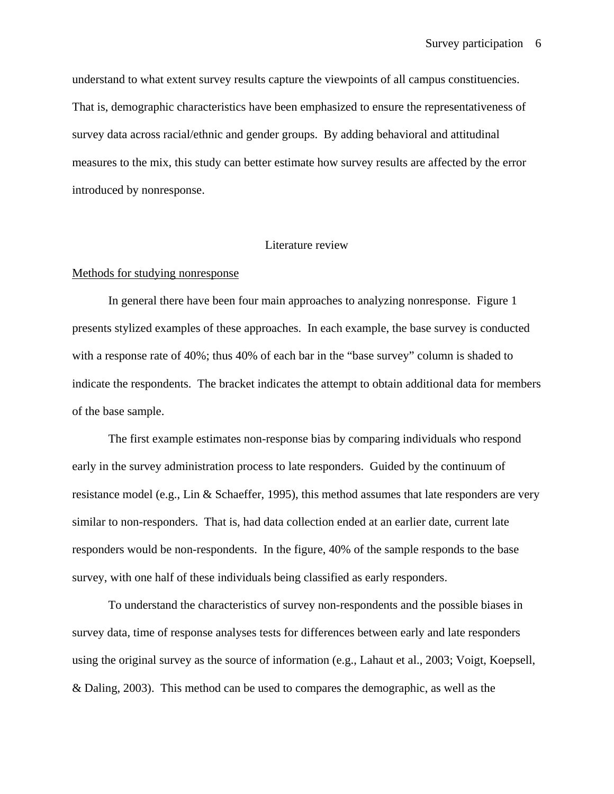understand to what extent survey results capture the viewpoints of all campus constituencies. That is, demographic characteristics have been emphasized to ensure the representativeness of survey data across racial/ethnic and gender groups. By adding behavioral and attitudinal measures to the mix, this study can better estimate how survey results are affected by the error introduced by nonresponse.

## Literature review

### Methods for studying nonresponse

In general there have been four main approaches to analyzing nonresponse. Figure 1 presents stylized examples of these approaches. In each example, the base survey is conducted with a response rate of 40%; thus 40% of each bar in the "base survey" column is shaded to indicate the respondents. The bracket indicates the attempt to obtain additional data for members of the base sample.

The first example estimates non-response bias by comparing individuals who respond early in the survey administration process to late responders. Guided by the continuum of resistance model (e.g., Lin & Schaeffer, 1995), this method assumes that late responders are very similar to non-responders. That is, had data collection ended at an earlier date, current late responders would be non-respondents. In the figure, 40% of the sample responds to the base survey, with one half of these individuals being classified as early responders.

To understand the characteristics of survey non-respondents and the possible biases in survey data, time of response analyses tests for differences between early and late responders using the original survey as the source of information (e.g., Lahaut et al., 2003; Voigt, Koepsell, & Daling, 2003). This method can be used to compares the demographic, as well as the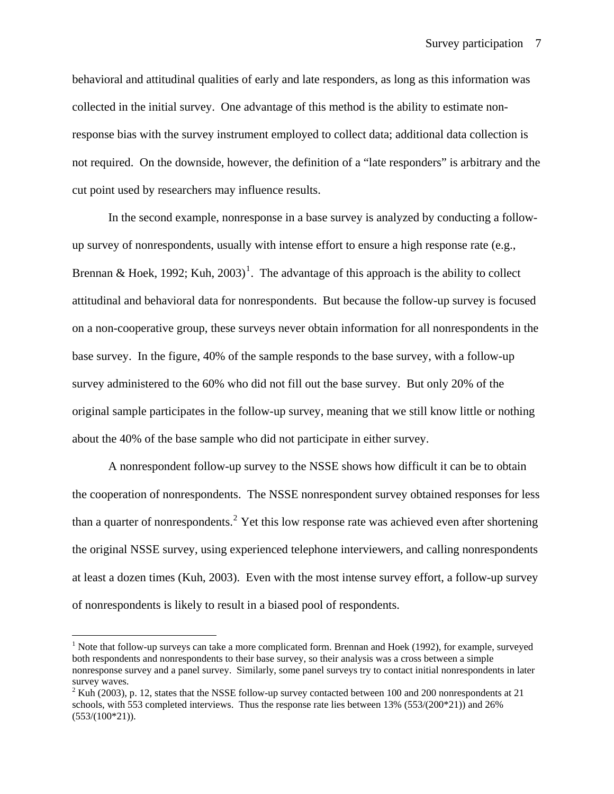behavioral and attitudinal qualities of early and late responders, as long as this information was collected in the initial survey. One advantage of this method is the ability to estimate nonresponse bias with the survey instrument employed to collect data; additional data collection is not required. On the downside, however, the definition of a "late responders" is arbitrary and the cut point used by researchers may influence results.

In the second example, nonresponse in a base survey is analyzed by conducting a followup survey of nonrespondents, usually with intense effort to ensure a high response rate (e.g., Brennan & Hoek, [1](#page-6-0)992; Kuh, 2003)<sup>1</sup>. The advantage of this approach is the ability to collect attitudinal and behavioral data for nonrespondents. But because the follow-up survey is focused on a non-cooperative group, these surveys never obtain information for all nonrespondents in the base survey. In the figure, 40% of the sample responds to the base survey, with a follow-up survey administered to the 60% who did not fill out the base survey. But only 20% of the original sample participates in the follow-up survey, meaning that we still know little or nothing about the 40% of the base sample who did not participate in either survey.

A nonrespondent follow-up survey to the NSSE shows how difficult it can be to obtain the cooperation of nonrespondents. The NSSE nonrespondent survey obtained responses for less than a quarter of nonrespondents.<sup>[2](#page-6-1)</sup> Yet this low response rate was achieved even after shortening the original NSSE survey, using experienced telephone interviewers, and calling nonrespondents at least a dozen times (Kuh, 2003). Even with the most intense survey effort, a follow-up survey of nonrespondents is likely to result in a biased pool of respondents.

 $\overline{a}$ 

<span id="page-6-0"></span><sup>&</sup>lt;sup>1</sup> Note that follow-up surveys can take a more complicated form. Brennan and Hoek (1992), for example, surveyed both respondents and nonrespondents to their base survey, so their analysis was a cross between a simple nonresponse survey and a panel survey. Similarly, some panel surveys try to contact initial nonrespondents in later survey waves.

<span id="page-6-1"></span> $2^2$  Kuh (2003), p. 12, states that the NSSE follow-up survey contacted between 100 and 200 nonrespondents at 21 schools, with 553 completed interviews. Thus the response rate lies between 13% (553/(200\*21)) and 26%  $(553/(100*21)).$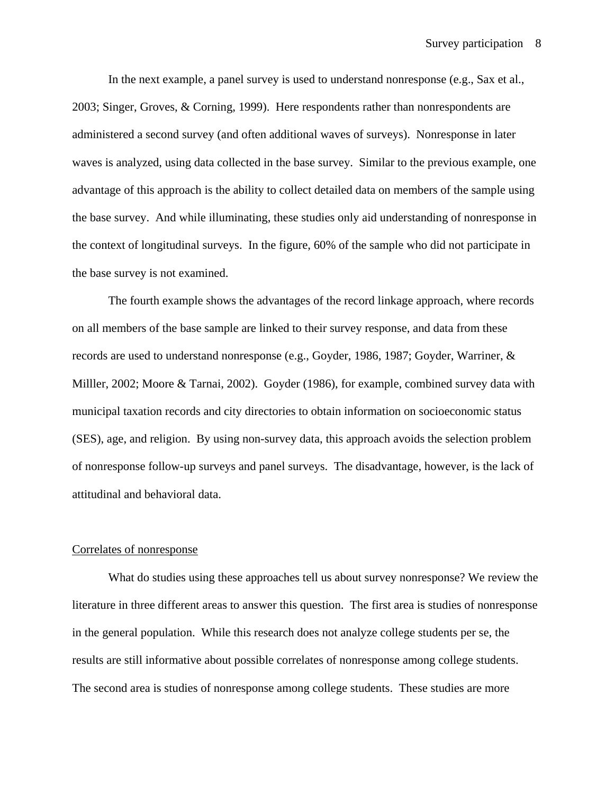In the next example, a panel survey is used to understand nonresponse (e.g., Sax et al., 2003; Singer, Groves, & Corning, 1999). Here respondents rather than nonrespondents are administered a second survey (and often additional waves of surveys). Nonresponse in later waves is analyzed, using data collected in the base survey. Similar to the previous example, one advantage of this approach is the ability to collect detailed data on members of the sample using the base survey. And while illuminating, these studies only aid understanding of nonresponse in the context of longitudinal surveys. In the figure, 60% of the sample who did not participate in the base survey is not examined.

The fourth example shows the advantages of the record linkage approach, where records on all members of the base sample are linked to their survey response, and data from these records are used to understand nonresponse (e.g., Goyder, 1986, 1987; Goyder, Warriner, & Milller, 2002; Moore & Tarnai, 2002). Goyder (1986), for example, combined survey data with municipal taxation records and city directories to obtain information on socioeconomic status (SES), age, and religion. By using non-survey data, this approach avoids the selection problem of nonresponse follow-up surveys and panel surveys. The disadvantage, however, is the lack of attitudinal and behavioral data.

### Correlates of nonresponse

What do studies using these approaches tell us about survey nonresponse? We review the literature in three different areas to answer this question. The first area is studies of nonresponse in the general population. While this research does not analyze college students per se, the results are still informative about possible correlates of nonresponse among college students. The second area is studies of nonresponse among college students. These studies are more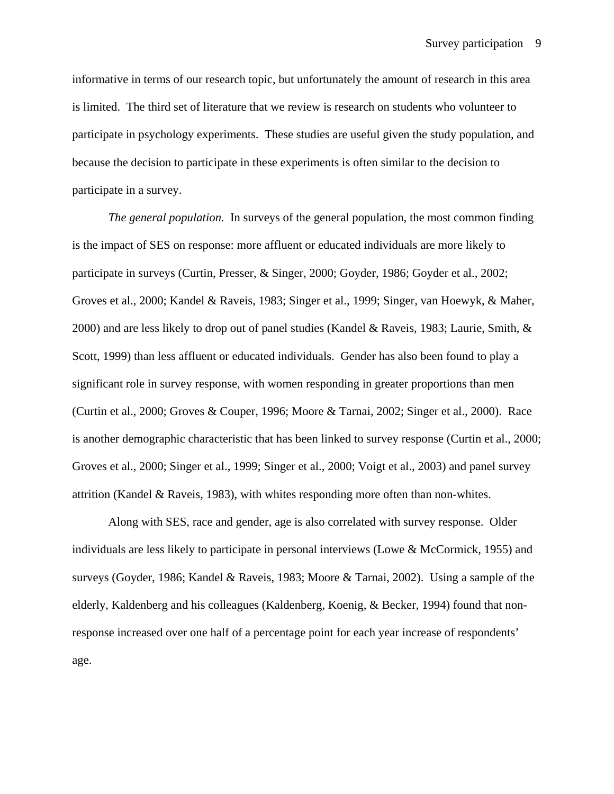informative in terms of our research topic, but unfortunately the amount of research in this area is limited. The third set of literature that we review is research on students who volunteer to participate in psychology experiments. These studies are useful given the study population, and because the decision to participate in these experiments is often similar to the decision to participate in a survey.

*The general population.* In surveys of the general population, the most common finding is the impact of SES on response: more affluent or educated individuals are more likely to participate in surveys (Curtin, Presser, & Singer, 2000; Goyder, 1986; Goyder et al., 2002; Groves et al., 2000; Kandel & Raveis, 1983; Singer et al., 1999; Singer, van Hoewyk, & Maher, 2000) and are less likely to drop out of panel studies (Kandel & Raveis, 1983; Laurie, Smith, & Scott, 1999) than less affluent or educated individuals. Gender has also been found to play a significant role in survey response, with women responding in greater proportions than men (Curtin et al., 2000; Groves & Couper, 1996; Moore & Tarnai, 2002; Singer et al., 2000). Race is another demographic characteristic that has been linked to survey response (Curtin et al., 2000; Groves et al., 2000; Singer et al., 1999; Singer et al., 2000; Voigt et al., 2003) and panel survey attrition (Kandel & Raveis, 1983), with whites responding more often than non-whites.

Along with SES, race and gender, age is also correlated with survey response. Older individuals are less likely to participate in personal interviews (Lowe & McCormick, 1955) and surveys (Goyder, 1986; Kandel & Raveis, 1983; Moore & Tarnai, 2002). Using a sample of the elderly, Kaldenberg and his colleagues (Kaldenberg, Koenig, & Becker, 1994) found that nonresponse increased over one half of a percentage point for each year increase of respondents' age.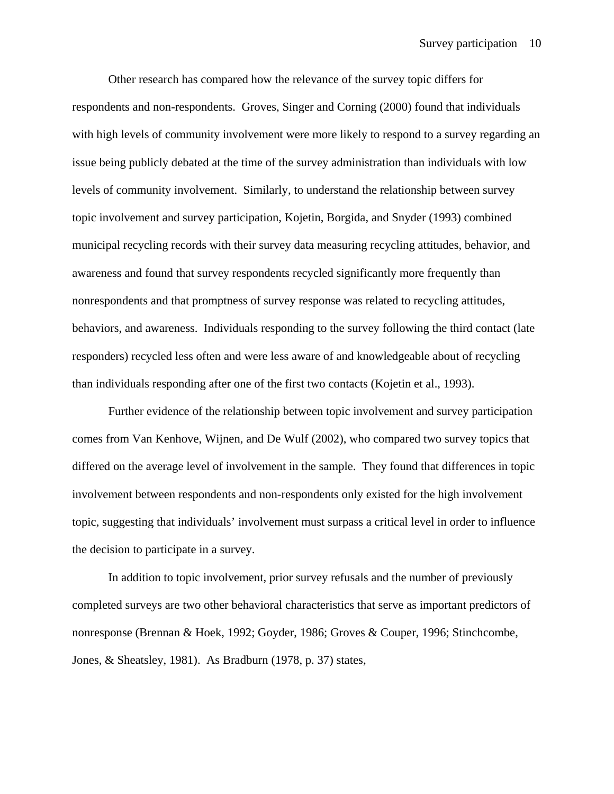Other research has compared how the relevance of the survey topic differs for respondents and non-respondents. Groves, Singer and Corning (2000) found that individuals with high levels of community involvement were more likely to respond to a survey regarding an issue being publicly debated at the time of the survey administration than individuals with low levels of community involvement. Similarly, to understand the relationship between survey topic involvement and survey participation, Kojetin, Borgida, and Snyder (1993) combined municipal recycling records with their survey data measuring recycling attitudes, behavior, and awareness and found that survey respondents recycled significantly more frequently than nonrespondents and that promptness of survey response was related to recycling attitudes, behaviors, and awareness. Individuals responding to the survey following the third contact (late responders) recycled less often and were less aware of and knowledgeable about of recycling than individuals responding after one of the first two contacts (Kojetin et al., 1993).

Further evidence of the relationship between topic involvement and survey participation comes from Van Kenhove, Wijnen, and De Wulf (2002), who compared two survey topics that differed on the average level of involvement in the sample. They found that differences in topic involvement between respondents and non-respondents only existed for the high involvement topic, suggesting that individuals' involvement must surpass a critical level in order to influence the decision to participate in a survey.

In addition to topic involvement, prior survey refusals and the number of previously completed surveys are two other behavioral characteristics that serve as important predictors of nonresponse (Brennan & Hoek, 1992; Goyder, 1986; Groves & Couper, 1996; Stinchcombe, Jones, & Sheatsley, 1981). As Bradburn (1978, p. 37) states,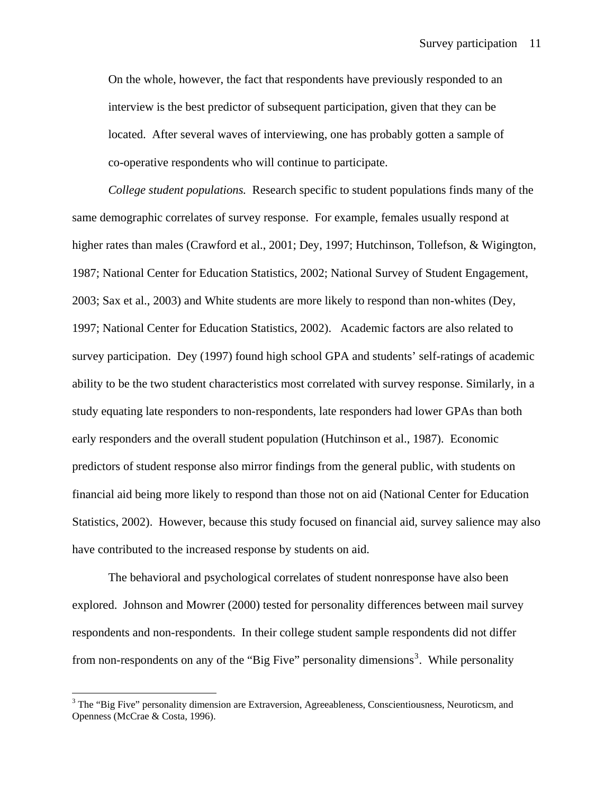On the whole, however, the fact that respondents have previously responded to an interview is the best predictor of subsequent participation, given that they can be located. After several waves of interviewing, one has probably gotten a sample of co-operative respondents who will continue to participate.

*College student populations.* Research specific to student populations finds many of the same demographic correlates of survey response. For example, females usually respond at higher rates than males (Crawford et al., 2001; Dey, 1997; Hutchinson, Tollefson, & Wigington, 1987; National Center for Education Statistics, 2002; National Survey of Student Engagement, 2003; Sax et al., 2003) and White students are more likely to respond than non-whites (Dey, 1997; National Center for Education Statistics, 2002). Academic factors are also related to survey participation. Dey (1997) found high school GPA and students' self-ratings of academic ability to be the two student characteristics most correlated with survey response. Similarly, in a study equating late responders to non-respondents, late responders had lower GPAs than both early responders and the overall student population (Hutchinson et al., 1987). Economic predictors of student response also mirror findings from the general public, with students on financial aid being more likely to respond than those not on aid (National Center for Education Statistics, 2002). However, because this study focused on financial aid, survey salience may also have contributed to the increased response by students on aid.

The behavioral and psychological correlates of student nonresponse have also been explored. Johnson and Mowrer (2000) tested for personality differences between mail survey respondents and non-respondents. In their college student sample respondents did not differ from non-respondents on any of the "Big Five" personality dimensions<sup>[3](#page-10-0)</sup>. While personality

 $\overline{a}$ 

<span id="page-10-0"></span><sup>&</sup>lt;sup>3</sup> The "Big Five" personality dimension are Extraversion, Agreeableness, Conscientiousness, Neuroticsm, and Openness (McCrae & Costa, 1996).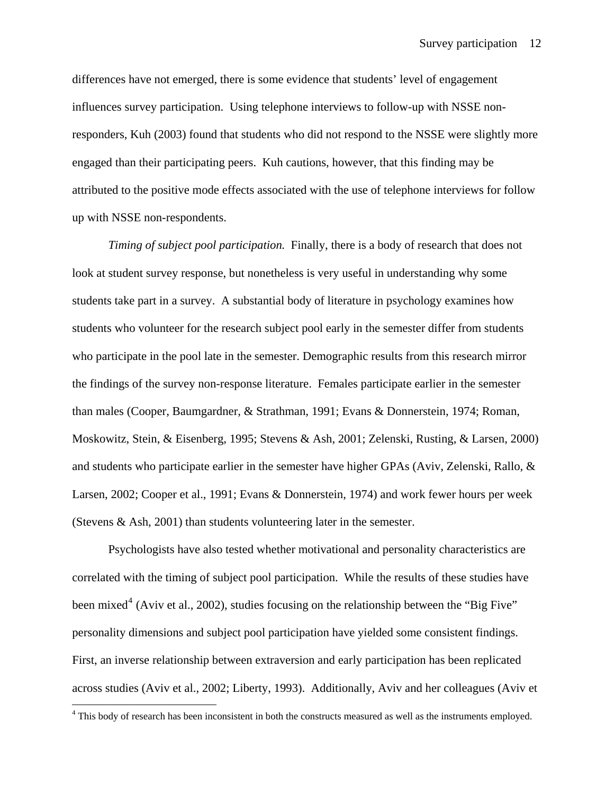differences have not emerged, there is some evidence that students' level of engagement influences survey participation. Using telephone interviews to follow-up with NSSE nonresponders, Kuh (2003) found that students who did not respond to the NSSE were slightly more engaged than their participating peers. Kuh cautions, however, that this finding may be attributed to the positive mode effects associated with the use of telephone interviews for follow up with NSSE non-respondents.

*Timing of subject pool participation.* Finally, there is a body of research that does not look at student survey response, but nonetheless is very useful in understanding why some students take part in a survey. A substantial body of literature in psychology examines how students who volunteer for the research subject pool early in the semester differ from students who participate in the pool late in the semester. Demographic results from this research mirror the findings of the survey non-response literature. Females participate earlier in the semester than males (Cooper, Baumgardner, & Strathman, 1991; Evans & Donnerstein, 1974; Roman, Moskowitz, Stein, & Eisenberg, 1995; Stevens & Ash, 2001; Zelenski, Rusting, & Larsen, 2000) and students who participate earlier in the semester have higher GPAs (Aviv, Zelenski, Rallo, & Larsen, 2002; Cooper et al., 1991; Evans & Donnerstein, 1974) and work fewer hours per week (Stevens & Ash, 2001) than students volunteering later in the semester.

 Psychologists have also tested whether motivational and personality characteristics are correlated with the timing of subject pool participation. While the results of these studies have been mixed<sup>[4](#page-11-0)</sup> (Aviv et al., 2002), studies focusing on the relationship between the "Big Five" personality dimensions and subject pool participation have yielded some consistent findings. First, an inverse relationship between extraversion and early participation has been replicated across studies (Aviv et al., 2002; Liberty, 1993). Additionally, Aviv and her colleagues (Aviv et

 $\overline{a}$ 

<span id="page-11-0"></span><sup>&</sup>lt;sup>4</sup> This body of research has been inconsistent in both the constructs measured as well as the instruments employed.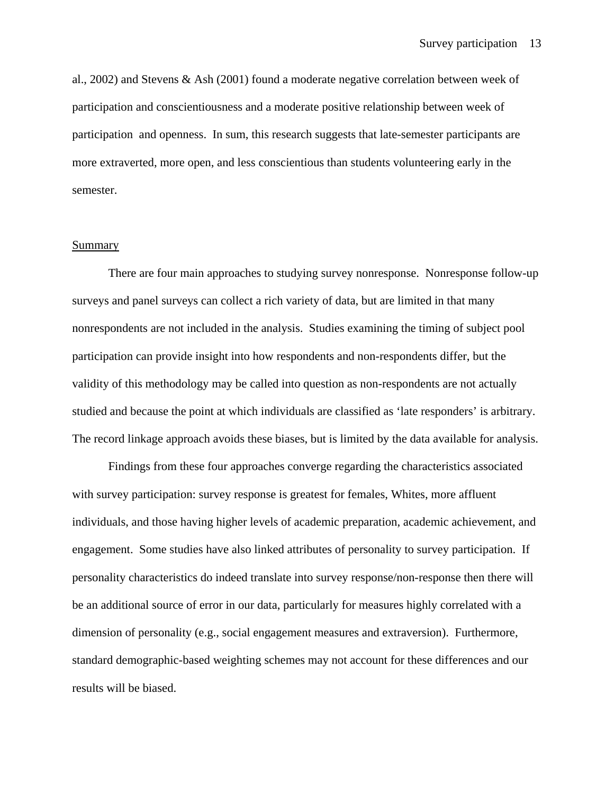al., 2002) and Stevens & Ash (2001) found a moderate negative correlation between week of participation and conscientiousness and a moderate positive relationship between week of participation and openness. In sum, this research suggests that late-semester participants are more extraverted, more open, and less conscientious than students volunteering early in the semester.

#### Summary

 There are four main approaches to studying survey nonresponse. Nonresponse follow-up surveys and panel surveys can collect a rich variety of data, but are limited in that many nonrespondents are not included in the analysis. Studies examining the timing of subject pool participation can provide insight into how respondents and non-respondents differ, but the validity of this methodology may be called into question as non-respondents are not actually studied and because the point at which individuals are classified as 'late responders' is arbitrary. The record linkage approach avoids these biases, but is limited by the data available for analysis.

Findings from these four approaches converge regarding the characteristics associated with survey participation: survey response is greatest for females, Whites, more affluent individuals, and those having higher levels of academic preparation, academic achievement, and engagement. Some studies have also linked attributes of personality to survey participation. If personality characteristics do indeed translate into survey response/non-response then there will be an additional source of error in our data, particularly for measures highly correlated with a dimension of personality (e.g., social engagement measures and extraversion). Furthermore, standard demographic-based weighting schemes may not account for these differences and our results will be biased.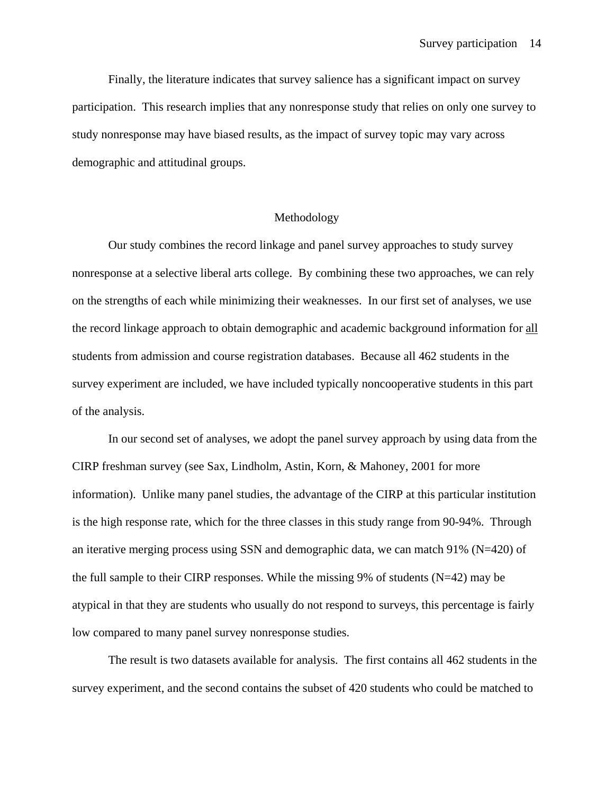Finally, the literature indicates that survey salience has a significant impact on survey participation. This research implies that any nonresponse study that relies on only one survey to study nonresponse may have biased results, as the impact of survey topic may vary across demographic and attitudinal groups.

## Methodology

Our study combines the record linkage and panel survey approaches to study survey nonresponse at a selective liberal arts college. By combining these two approaches, we can rely on the strengths of each while minimizing their weaknesses. In our first set of analyses, we use the record linkage approach to obtain demographic and academic background information for all students from admission and course registration databases. Because all 462 students in the survey experiment are included, we have included typically noncooperative students in this part of the analysis.

In our second set of analyses, we adopt the panel survey approach by using data from the CIRP freshman survey (see Sax, Lindholm, Astin, Korn, & Mahoney, 2001 for more information). Unlike many panel studies, the advantage of the CIRP at this particular institution is the high response rate, which for the three classes in this study range from 90-94%. Through an iterative merging process using SSN and demographic data, we can match 91% (N=420) of the full sample to their CIRP responses. While the missing 9% of students  $(N=42)$  may be atypical in that they are students who usually do not respond to surveys, this percentage is fairly low compared to many panel survey nonresponse studies.

The result is two datasets available for analysis. The first contains all 462 students in the survey experiment, and the second contains the subset of 420 students who could be matched to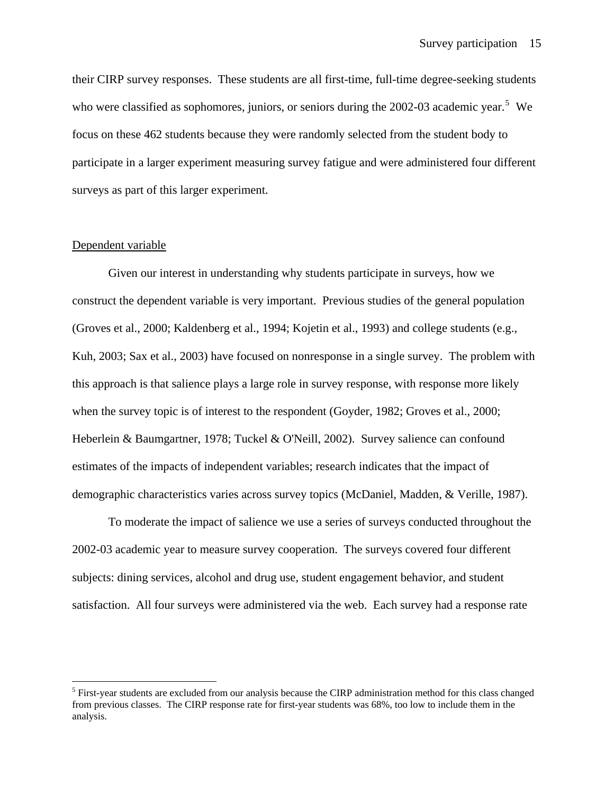their CIRP survey responses. These students are all first-time, full-time degree-seeking students who were classified as sophomores, juniors, or seniors during the  $2002-03$  academic year.<sup>[5](#page-14-0)</sup> We focus on these 462 students because they were randomly selected from the student body to participate in a larger experiment measuring survey fatigue and were administered four different surveys as part of this larger experiment.

### Dependent variable

 $\overline{a}$ 

Given our interest in understanding why students participate in surveys, how we construct the dependent variable is very important. Previous studies of the general population (Groves et al., 2000; Kaldenberg et al., 1994; Kojetin et al., 1993) and college students (e.g., Kuh, 2003; Sax et al., 2003) have focused on nonresponse in a single survey. The problem with this approach is that salience plays a large role in survey response, with response more likely when the survey topic is of interest to the respondent (Goyder, 1982; Groves et al., 2000; Heberlein & Baumgartner, 1978; Tuckel & O'Neill, 2002). Survey salience can confound estimates of the impacts of independent variables; research indicates that the impact of demographic characteristics varies across survey topics (McDaniel, Madden, & Verille, 1987).

To moderate the impact of salience we use a series of surveys conducted throughout the 2002-03 academic year to measure survey cooperation. The surveys covered four different subjects: dining services, alcohol and drug use, student engagement behavior, and student satisfaction. All four surveys were administered via the web. Each survey had a response rate

<span id="page-14-0"></span><sup>&</sup>lt;sup>5</sup> First-year students are excluded from our analysis because the CIRP administration method for this class changed from previous classes. The CIRP response rate for first-year students was 68%, too low to include them in the analysis.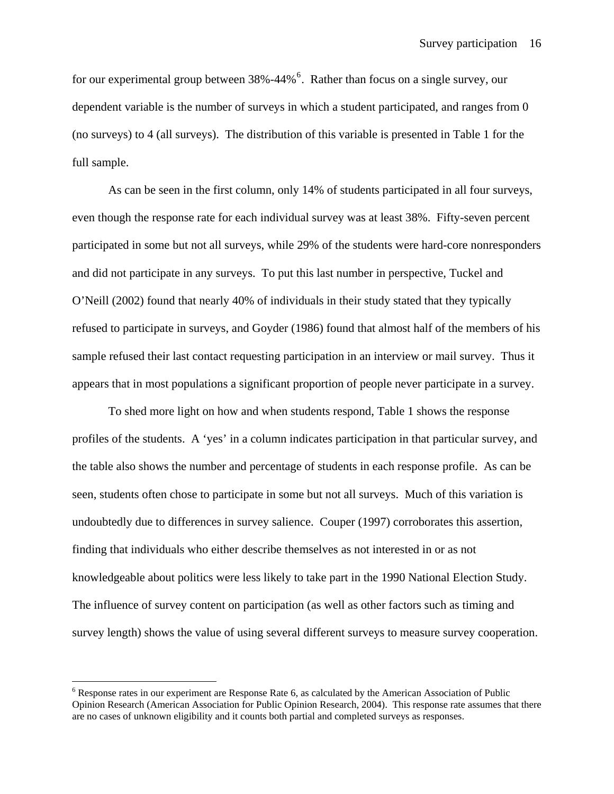for our experimental group between  $38\% -44\%$ <sup>[6](#page-15-0)</sup>. Rather than focus on a single survey, our dependent variable is the number of surveys in which a student participated, and ranges from 0 (no surveys) to 4 (all surveys). The distribution of this variable is presented in Table 1 for the full sample.

As can be seen in the first column, only 14% of students participated in all four surveys, even though the response rate for each individual survey was at least 38%. Fifty-seven percent participated in some but not all surveys, while 29% of the students were hard-core nonresponders and did not participate in any surveys. To put this last number in perspective, Tuckel and O'Neill (2002) found that nearly 40% of individuals in their study stated that they typically refused to participate in surveys, and Goyder (1986) found that almost half of the members of his sample refused their last contact requesting participation in an interview or mail survey. Thus it appears that in most populations a significant proportion of people never participate in a survey.

To shed more light on how and when students respond, Table 1 shows the response profiles of the students. A 'yes' in a column indicates participation in that particular survey, and the table also shows the number and percentage of students in each response profile. As can be seen, students often chose to participate in some but not all surveys. Much of this variation is undoubtedly due to differences in survey salience. Couper (1997) corroborates this assertion, finding that individuals who either describe themselves as not interested in or as not knowledgeable about politics were less likely to take part in the 1990 National Election Study. The influence of survey content on participation (as well as other factors such as timing and survey length) shows the value of using several different surveys to measure survey cooperation.

 $\overline{a}$ 

<span id="page-15-0"></span><sup>&</sup>lt;sup>6</sup> Response rates in our experiment are Response Rate 6, as calculated by the American Association of Public Opinion Research (American Association for Public Opinion Research, 2004). This response rate assumes that there are no cases of unknown eligibility and it counts both partial and completed surveys as responses.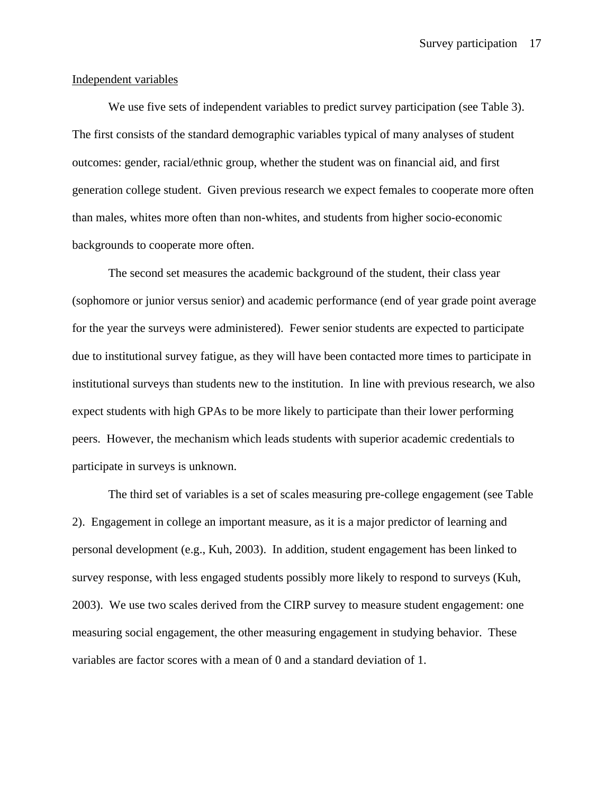## Independent variables

We use five sets of independent variables to predict survey participation (see Table 3). The first consists of the standard demographic variables typical of many analyses of student outcomes: gender, racial/ethnic group, whether the student was on financial aid, and first generation college student. Given previous research we expect females to cooperate more often than males, whites more often than non-whites, and students from higher socio-economic backgrounds to cooperate more often.

The second set measures the academic background of the student, their class year (sophomore or junior versus senior) and academic performance (end of year grade point average for the year the surveys were administered). Fewer senior students are expected to participate due to institutional survey fatigue, as they will have been contacted more times to participate in institutional surveys than students new to the institution. In line with previous research, we also expect students with high GPAs to be more likely to participate than their lower performing peers. However, the mechanism which leads students with superior academic credentials to participate in surveys is unknown.

 The third set of variables is a set of scales measuring pre-college engagement (see Table 2). Engagement in college an important measure, as it is a major predictor of learning and personal development (e.g., Kuh, 2003). In addition, student engagement has been linked to survey response, with less engaged students possibly more likely to respond to surveys (Kuh, 2003). We use two scales derived from the CIRP survey to measure student engagement: one measuring social engagement, the other measuring engagement in studying behavior. These variables are factor scores with a mean of 0 and a standard deviation of 1.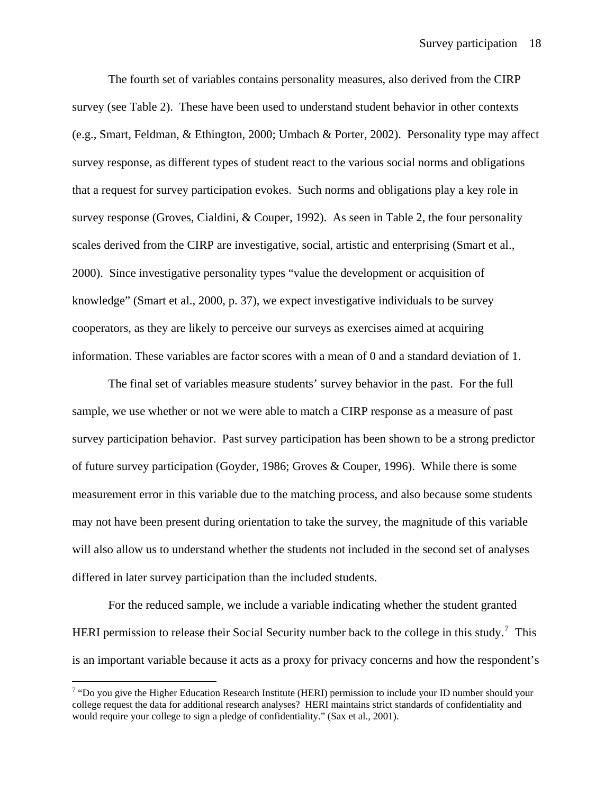The fourth set of variables contains personality measures, also derived from the CIRP survey (see Table 2). These have been used to understand student behavior in other contexts (e.g., Smart, Feldman, & Ethington, 2000; Umbach & Porter, 2002). Personality type may affect survey response, as different types of student react to the various social norms and obligations that a request for survey participation evokes. Such norms and obligations play a key role in survey response (Groves, Cialdini, & Couper, 1992). As seen in Table 2, the four personality scales derived from the CIRP are investigative, social, artistic and enterprising (Smart et al., 2000). Since investigative personality types "value the development or acquisition of knowledge" (Smart et al., 2000, p. 37), we expect investigative individuals to be survey cooperators, as they are likely to perceive our surveys as exercises aimed at acquiring information. These variables are factor scores with a mean of 0 and a standard deviation of 1.

The final set of variables measure students' survey behavior in the past. For the full sample, we use whether or not we were able to match a CIRP response as a measure of past survey participation behavior. Past survey participation has been shown to be a strong predictor of future survey participation (Goyder, 1986; Groves & Couper, 1996). While there is some measurement error in this variable due to the matching process, and also because some students may not have been present during orientation to take the survey, the magnitude of this variable will also allow us to understand whether the students not included in the second set of analyses differed in later survey participation than the included students.

For the reduced sample, we include a variable indicating whether the student granted HERI permission to release their Social Security number back to the college in this study.<sup>[7](#page-17-0)</sup> This is an important variable because it acts as a proxy for privacy concerns and how the respondent's

 $\overline{a}$ 

<span id="page-17-0"></span> $7$  "Do you give the Higher Education Research Institute (HERI) permission to include your ID number should your college request the data for additional research analyses? HERI maintains strict standards of confidentiality and would require your college to sign a pledge of confidentiality." (Sax et al., 2001).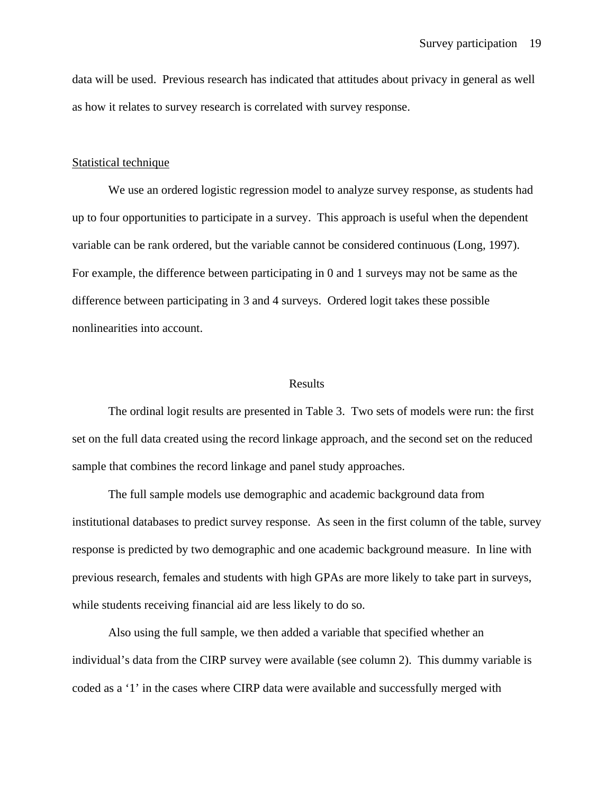data will be used. Previous research has indicated that attitudes about privacy in general as well as how it relates to survey research is correlated with survey response.

#### Statistical technique

We use an ordered logistic regression model to analyze survey response, as students had up to four opportunities to participate in a survey. This approach is useful when the dependent variable can be rank ordered, but the variable cannot be considered continuous (Long, 1997). For example, the difference between participating in 0 and 1 surveys may not be same as the difference between participating in 3 and 4 surveys. Ordered logit takes these possible nonlinearities into account.

#### Results

The ordinal logit results are presented in Table 3. Two sets of models were run: the first set on the full data created using the record linkage approach, and the second set on the reduced sample that combines the record linkage and panel study approaches.

The full sample models use demographic and academic background data from institutional databases to predict survey response. As seen in the first column of the table, survey response is predicted by two demographic and one academic background measure. In line with previous research, females and students with high GPAs are more likely to take part in surveys, while students receiving financial aid are less likely to do so.

Also using the full sample, we then added a variable that specified whether an individual's data from the CIRP survey were available (see column 2). This dummy variable is coded as a '1' in the cases where CIRP data were available and successfully merged with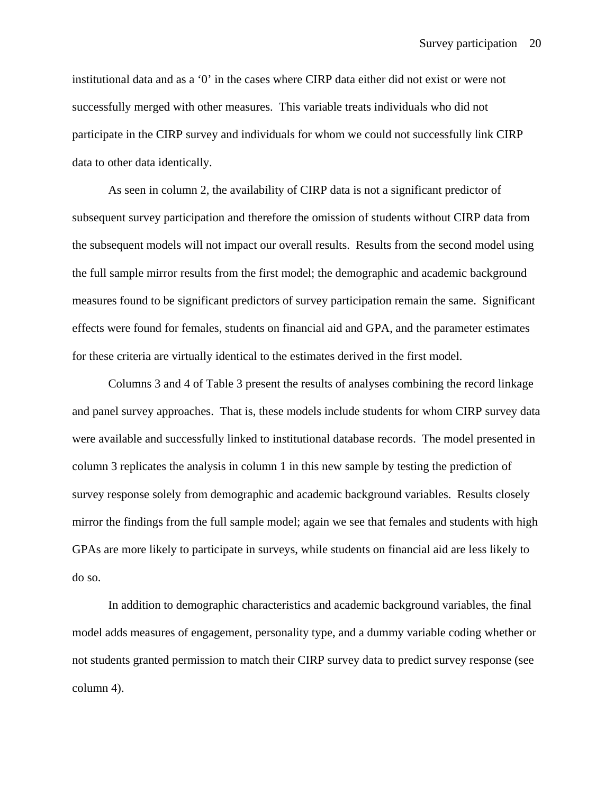institutional data and as a '0' in the cases where CIRP data either did not exist or were not successfully merged with other measures. This variable treats individuals who did not participate in the CIRP survey and individuals for whom we could not successfully link CIRP data to other data identically.

As seen in column 2, the availability of CIRP data is not a significant predictor of subsequent survey participation and therefore the omission of students without CIRP data from the subsequent models will not impact our overall results. Results from the second model using the full sample mirror results from the first model; the demographic and academic background measures found to be significant predictors of survey participation remain the same. Significant effects were found for females, students on financial aid and GPA, and the parameter estimates for these criteria are virtually identical to the estimates derived in the first model.

Columns 3 and 4 of Table 3 present the results of analyses combining the record linkage and panel survey approaches. That is, these models include students for whom CIRP survey data were available and successfully linked to institutional database records. The model presented in column 3 replicates the analysis in column 1 in this new sample by testing the prediction of survey response solely from demographic and academic background variables. Results closely mirror the findings from the full sample model; again we see that females and students with high GPAs are more likely to participate in surveys, while students on financial aid are less likely to do so.

 In addition to demographic characteristics and academic background variables, the final model adds measures of engagement, personality type, and a dummy variable coding whether or not students granted permission to match their CIRP survey data to predict survey response (see column 4).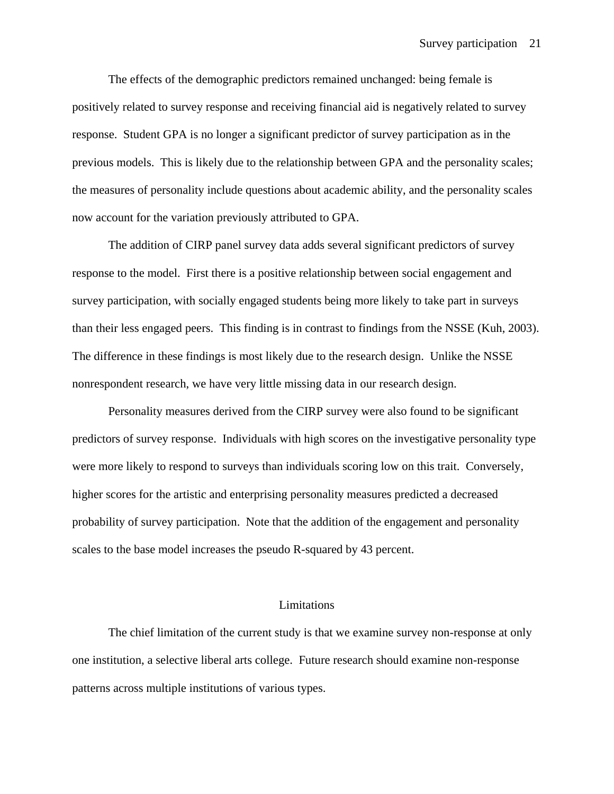The effects of the demographic predictors remained unchanged: being female is positively related to survey response and receiving financial aid is negatively related to survey response. Student GPA is no longer a significant predictor of survey participation as in the previous models. This is likely due to the relationship between GPA and the personality scales; the measures of personality include questions about academic ability, and the personality scales now account for the variation previously attributed to GPA.

The addition of CIRP panel survey data adds several significant predictors of survey response to the model. First there is a positive relationship between social engagement and survey participation, with socially engaged students being more likely to take part in surveys than their less engaged peers. This finding is in contrast to findings from the NSSE (Kuh, 2003). The difference in these findings is most likely due to the research design. Unlike the NSSE nonrespondent research, we have very little missing data in our research design.

 Personality measures derived from the CIRP survey were also found to be significant predictors of survey response. Individuals with high scores on the investigative personality type were more likely to respond to surveys than individuals scoring low on this trait. Conversely, higher scores for the artistic and enterprising personality measures predicted a decreased probability of survey participation. Note that the addition of the engagement and personality scales to the base model increases the pseudo R-squared by 43 percent.

### Limitations

The chief limitation of the current study is that we examine survey non-response at only one institution, a selective liberal arts college. Future research should examine non-response patterns across multiple institutions of various types.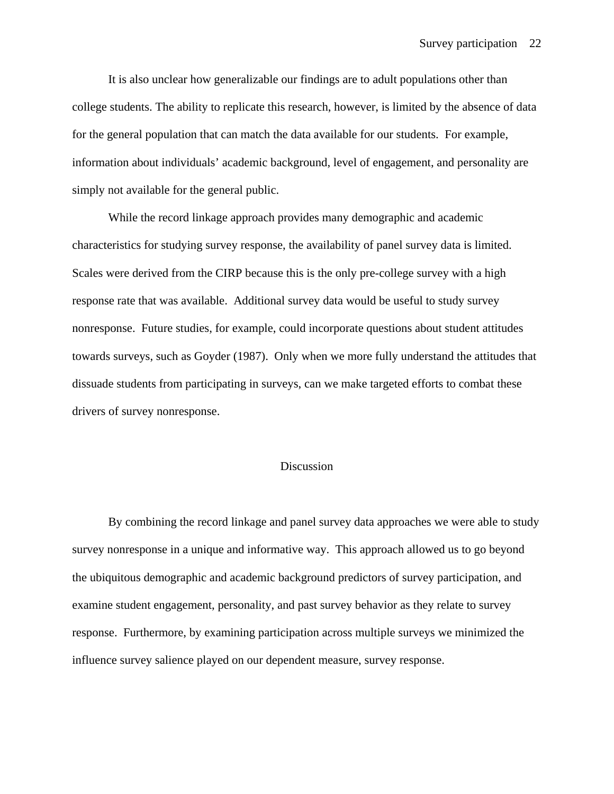It is also unclear how generalizable our findings are to adult populations other than college students. The ability to replicate this research, however, is limited by the absence of data for the general population that can match the data available for our students. For example, information about individuals' academic background, level of engagement, and personality are simply not available for the general public.

While the record linkage approach provides many demographic and academic characteristics for studying survey response, the availability of panel survey data is limited. Scales were derived from the CIRP because this is the only pre-college survey with a high response rate that was available. Additional survey data would be useful to study survey nonresponse. Future studies, for example, could incorporate questions about student attitudes towards surveys, such as Goyder (1987). Only when we more fully understand the attitudes that dissuade students from participating in surveys, can we make targeted efforts to combat these drivers of survey nonresponse.

## Discussion

By combining the record linkage and panel survey data approaches we were able to study survey nonresponse in a unique and informative way. This approach allowed us to go beyond the ubiquitous demographic and academic background predictors of survey participation, and examine student engagement, personality, and past survey behavior as they relate to survey response. Furthermore, by examining participation across multiple surveys we minimized the influence survey salience played on our dependent measure, survey response.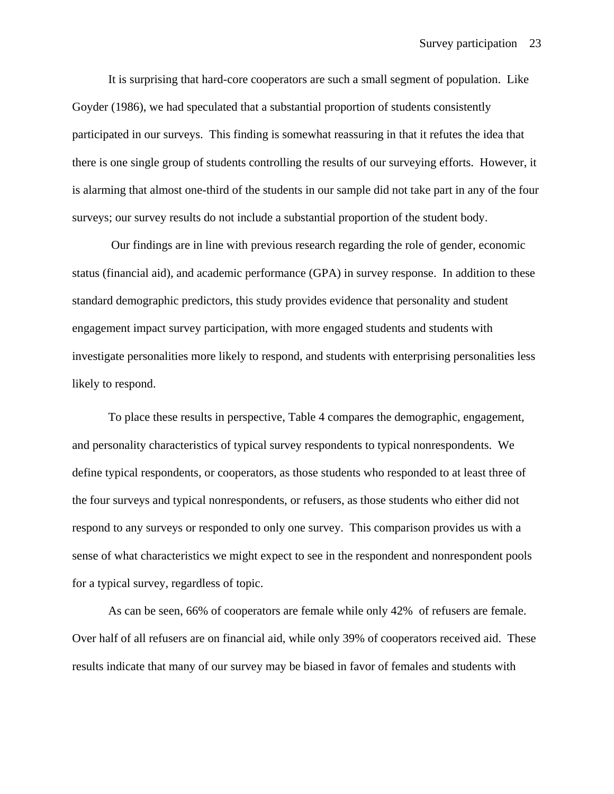It is surprising that hard-core cooperators are such a small segment of population. Like Goyder (1986), we had speculated that a substantial proportion of students consistently participated in our surveys. This finding is somewhat reassuring in that it refutes the idea that there is one single group of students controlling the results of our surveying efforts. However, it is alarming that almost one-third of the students in our sample did not take part in any of the four surveys; our survey results do not include a substantial proportion of the student body.

 Our findings are in line with previous research regarding the role of gender, economic status (financial aid), and academic performance (GPA) in survey response. In addition to these standard demographic predictors, this study provides evidence that personality and student engagement impact survey participation, with more engaged students and students with investigate personalities more likely to respond, and students with enterprising personalities less likely to respond.

To place these results in perspective, Table 4 compares the demographic, engagement, and personality characteristics of typical survey respondents to typical nonrespondents. We define typical respondents, or cooperators, as those students who responded to at least three of the four surveys and typical nonrespondents, or refusers, as those students who either did not respond to any surveys or responded to only one survey. This comparison provides us with a sense of what characteristics we might expect to see in the respondent and nonrespondent pools for a typical survey, regardless of topic.

As can be seen, 66% of cooperators are female while only 42% of refusers are female. Over half of all refusers are on financial aid, while only 39% of cooperators received aid. These results indicate that many of our survey may be biased in favor of females and students with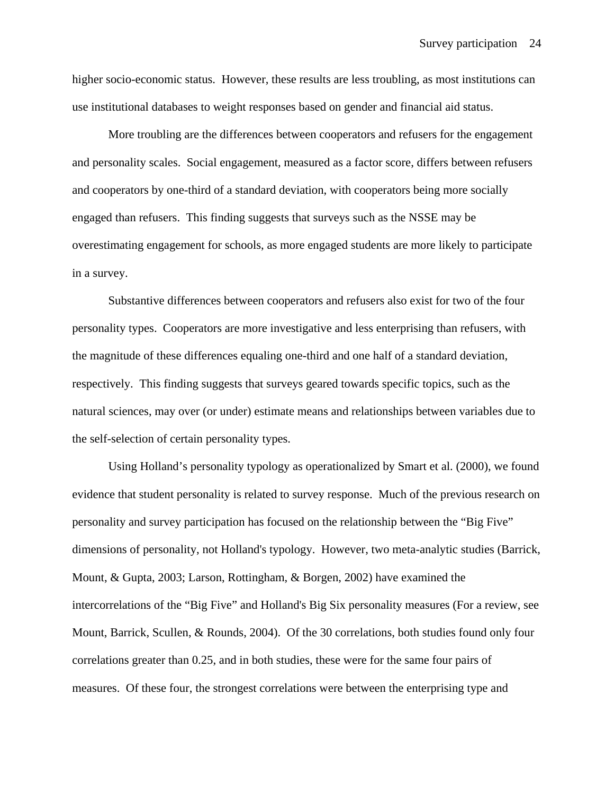higher socio-economic status. However, these results are less troubling, as most institutions can use institutional databases to weight responses based on gender and financial aid status.

 More troubling are the differences between cooperators and refusers for the engagement and personality scales. Social engagement, measured as a factor score, differs between refusers and cooperators by one-third of a standard deviation, with cooperators being more socially engaged than refusers. This finding suggests that surveys such as the NSSE may be overestimating engagement for schools, as more engaged students are more likely to participate in a survey.

Substantive differences between cooperators and refusers also exist for two of the four personality types. Cooperators are more investigative and less enterprising than refusers, with the magnitude of these differences equaling one-third and one half of a standard deviation, respectively. This finding suggests that surveys geared towards specific topics, such as the natural sciences, may over (or under) estimate means and relationships between variables due to the self-selection of certain personality types.

Using Holland's personality typology as operationalized by Smart et al. (2000), we found evidence that student personality is related to survey response. Much of the previous research on personality and survey participation has focused on the relationship between the "Big Five" dimensions of personality, not Holland's typology. However, two meta-analytic studies (Barrick, Mount, & Gupta, 2003; Larson, Rottingham, & Borgen, 2002) have examined the intercorrelations of the "Big Five" and Holland's Big Six personality measures (For a review, see Mount, Barrick, Scullen, & Rounds, 2004). Of the 30 correlations, both studies found only four correlations greater than 0.25, and in both studies, these were for the same four pairs of measures. Of these four, the strongest correlations were between the enterprising type and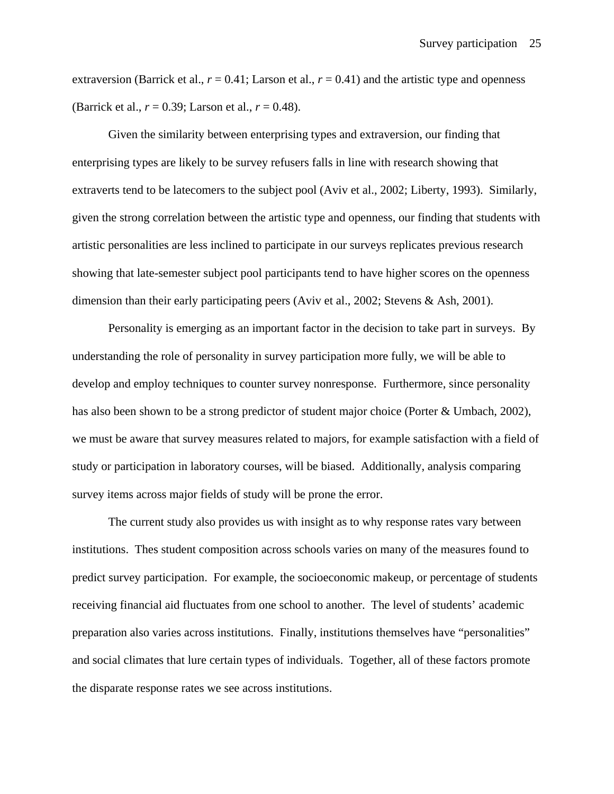extraversion (Barrick et al.,  $r = 0.41$ ; Larson et al.,  $r = 0.41$ ) and the artistic type and openness (Barrick et al., *r* = 0.39; Larson et al., *r* = 0.48).

Given the similarity between enterprising types and extraversion, our finding that enterprising types are likely to be survey refusers falls in line with research showing that extraverts tend to be latecomers to the subject pool (Aviv et al., 2002; Liberty, 1993). Similarly, given the strong correlation between the artistic type and openness, our finding that students with artistic personalities are less inclined to participate in our surveys replicates previous research showing that late-semester subject pool participants tend to have higher scores on the openness dimension than their early participating peers (Aviv et al., 2002; Stevens & Ash, 2001).

Personality is emerging as an important factor in the decision to take part in surveys. By understanding the role of personality in survey participation more fully, we will be able to develop and employ techniques to counter survey nonresponse. Furthermore, since personality has also been shown to be a strong predictor of student major choice (Porter & Umbach, 2002), we must be aware that survey measures related to majors, for example satisfaction with a field of study or participation in laboratory courses, will be biased. Additionally, analysis comparing survey items across major fields of study will be prone the error.

The current study also provides us with insight as to why response rates vary between institutions. Thes student composition across schools varies on many of the measures found to predict survey participation. For example, the socioeconomic makeup, or percentage of students receiving financial aid fluctuates from one school to another. The level of students' academic preparation also varies across institutions. Finally, institutions themselves have "personalities" and social climates that lure certain types of individuals. Together, all of these factors promote the disparate response rates we see across institutions.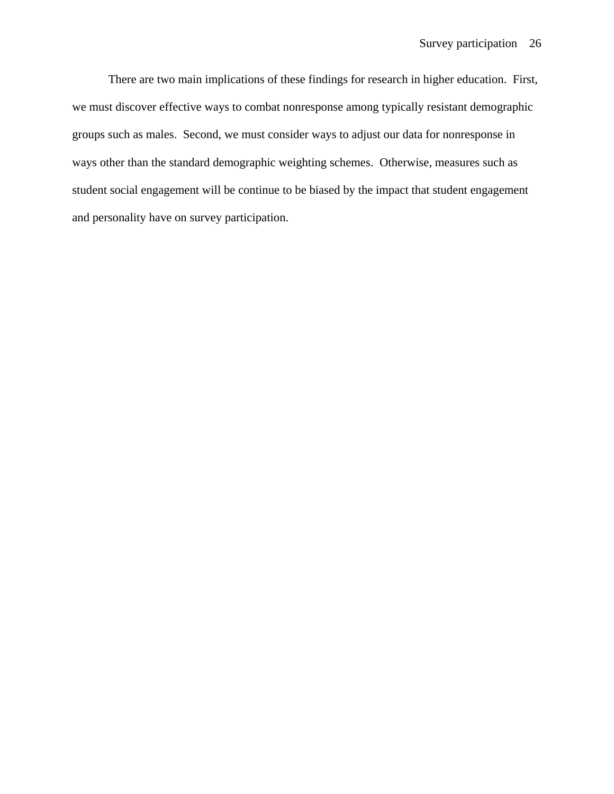There are two main implications of these findings for research in higher education. First, we must discover effective ways to combat nonresponse among typically resistant demographic groups such as males. Second, we must consider ways to adjust our data for nonresponse in ways other than the standard demographic weighting schemes. Otherwise, measures such as student social engagement will be continue to be biased by the impact that student engagement and personality have on survey participation.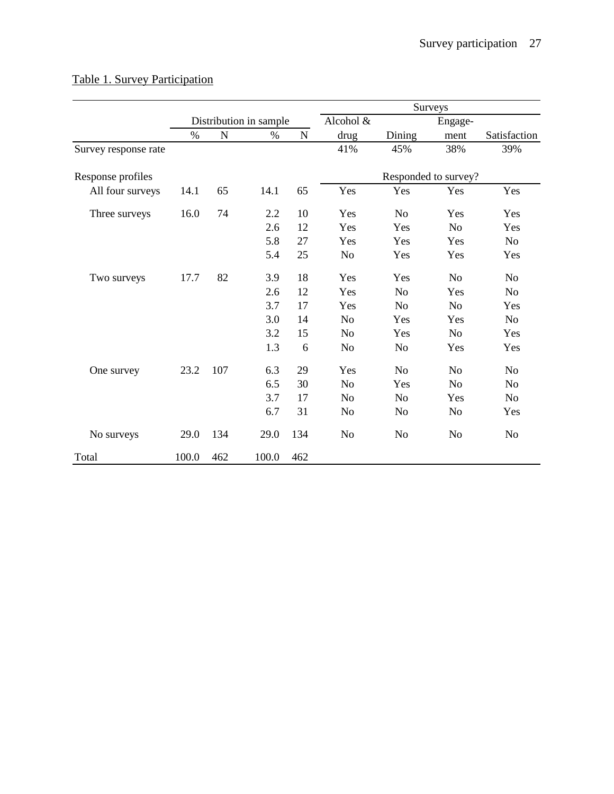|                      |       |     |                        |           |                |                | Surveys              |                |
|----------------------|-------|-----|------------------------|-----------|----------------|----------------|----------------------|----------------|
|                      |       |     | Distribution in sample |           | Alcohol &      |                | Engage-              |                |
|                      | $\%$  | N   | $\%$                   | ${\bf N}$ | drug           | Dining         | ment                 | Satisfaction   |
| Survey response rate |       |     |                        |           | 41%            | 45%            | 38%                  | 39%            |
| Response profiles    |       |     |                        |           |                |                | Responded to survey? |                |
| All four surveys     | 14.1  | 65  | 14.1                   | 65        | Yes            | Yes            | Yes                  | Yes            |
| Three surveys        | 16.0  | 74  | 2.2                    | 10        | Yes            | N <sub>o</sub> | Yes                  | Yes            |
|                      |       |     | 2.6                    | 12        | Yes            | Yes            | N <sub>o</sub>       | Yes            |
|                      |       |     | 5.8                    | 27        | Yes            | Yes            | Yes                  | N <sub>o</sub> |
|                      |       |     | 5.4                    | 25        | N <sub>o</sub> | Yes            | Yes                  | Yes            |
| Two surveys          | 17.7  | 82  | 3.9                    | 18        | Yes            | Yes            | N <sub>o</sub>       | N <sub>o</sub> |
|                      |       |     | 2.6                    | 12        | Yes            | N <sub>o</sub> | Yes                  | N <sub>o</sub> |
|                      |       |     | 3.7                    | 17        | Yes            | N <sub>o</sub> | N <sub>o</sub>       | Yes            |
|                      |       |     | 3.0                    | 14        | N <sub>o</sub> | Yes            | Yes                  | N <sub>o</sub> |
|                      |       |     | 3.2                    | 15        | No             | Yes            | N <sub>o</sub>       | Yes            |
|                      |       |     | 1.3                    | 6         | N <sub>o</sub> | N <sub>o</sub> | Yes                  | Yes            |
| One survey           | 23.2  | 107 | 6.3                    | 29        | Yes            | N <sub>o</sub> | N <sub>o</sub>       | N <sub>o</sub> |
|                      |       |     | 6.5                    | 30        | N <sub>o</sub> | Yes            | N <sub>o</sub>       | N <sub>o</sub> |
|                      |       |     | 3.7                    | 17        | N <sub>o</sub> | N <sub>o</sub> | Yes                  | N <sub>o</sub> |
|                      |       |     | 6.7                    | 31        | N <sub>o</sub> | N <sub>o</sub> | N <sub>o</sub>       | Yes            |
| No surveys           | 29.0  | 134 | 29.0                   | 134       | No             | No             | N <sub>o</sub>       | N <sub>o</sub> |
| Total                | 100.0 | 462 | 100.0                  | 462       |                |                |                      |                |

# Table 1. Survey Participation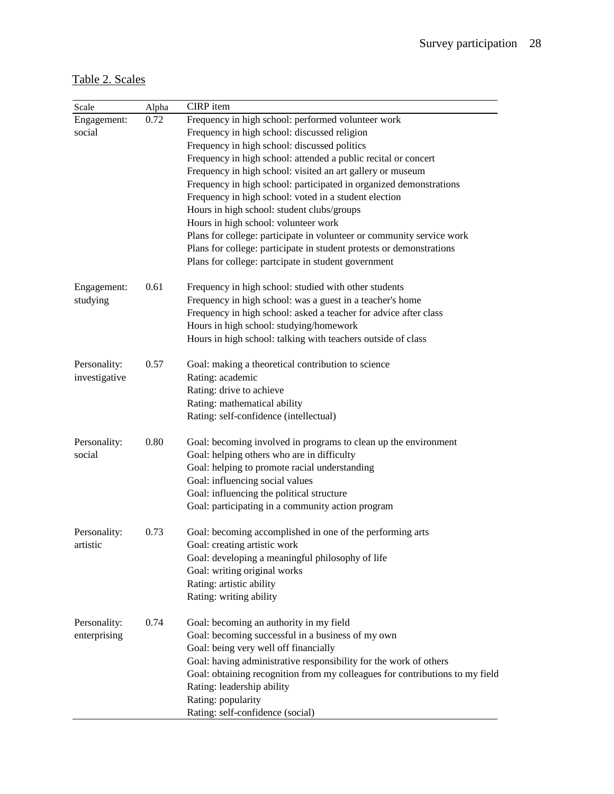# Table 2. Scales

| Scale         | Alpha | CIRP item                                                                    |
|---------------|-------|------------------------------------------------------------------------------|
| Engagement:   | 0.72  | Frequency in high school: performed volunteer work                           |
| social        |       | Frequency in high school: discussed religion                                 |
|               |       | Frequency in high school: discussed politics                                 |
|               |       | Frequency in high school: attended a public recital or concert               |
|               |       | Frequency in high school: visited an art gallery or museum                   |
|               |       | Frequency in high school: participated in organized demonstrations           |
|               |       | Frequency in high school: voted in a student election                        |
|               |       | Hours in high school: student clubs/groups                                   |
|               |       | Hours in high school: volunteer work                                         |
|               |       | Plans for college: participate in volunteer or community service work        |
|               |       | Plans for college: participate in student protests or demonstrations         |
|               |       | Plans for college: partcipate in student government                          |
| Engagement:   | 0.61  | Frequency in high school: studied with other students                        |
| studying      |       | Frequency in high school: was a guest in a teacher's home                    |
|               |       | Frequency in high school: asked a teacher for advice after class             |
|               |       | Hours in high school: studying/homework                                      |
|               |       | Hours in high school: talking with teachers outside of class                 |
| Personality:  | 0.57  | Goal: making a theoretical contribution to science                           |
| investigative |       | Rating: academic                                                             |
|               |       | Rating: drive to achieve                                                     |
|               |       | Rating: mathematical ability                                                 |
|               |       | Rating: self-confidence (intellectual)                                       |
| Personality:  | 0.80  | Goal: becoming involved in programs to clean up the environment              |
| social        |       | Goal: helping others who are in difficulty                                   |
|               |       | Goal: helping to promote racial understanding                                |
|               |       | Goal: influencing social values                                              |
|               |       | Goal: influencing the political structure                                    |
|               |       | Goal: participating in a community action program                            |
| Personality:  | 0.73  | Goal: becoming accomplished in one of the performing arts                    |
| artistic      |       | Goal: creating artistic work                                                 |
|               |       | Goal: developing a meaningful philosophy of life                             |
|               |       | Goal: writing original works                                                 |
|               |       | Rating: artistic ability                                                     |
|               |       | Rating: writing ability                                                      |
| Personality:  | 0.74  | Goal: becoming an authority in my field                                      |
| enterprising  |       | Goal: becoming successful in a business of my own                            |
|               |       | Goal: being very well off financially                                        |
|               |       | Goal: having administrative responsibility for the work of others            |
|               |       | Goal: obtaining recognition from my colleagues for contributions to my field |
|               |       | Rating: leadership ability                                                   |
|               |       | Rating: popularity                                                           |
|               |       | Rating: self-confidence (social)                                             |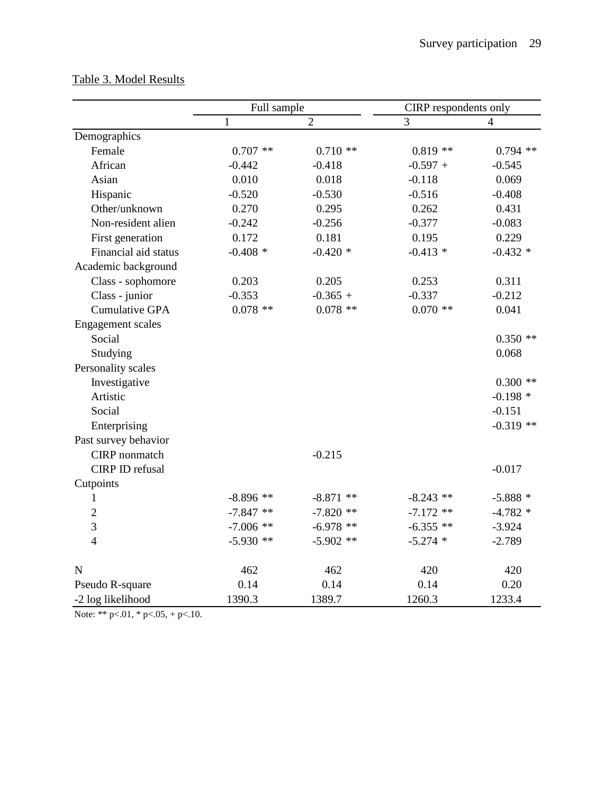|                        | Full sample  |                | CIRP respondents only |             |
|------------------------|--------------|----------------|-----------------------|-------------|
|                        | $\mathbf{1}$ | $\overline{2}$ | 3                     | 4           |
| Demographics           |              |                |                       |             |
| Female                 | $0.707$ **   | $0.710**$      | $0.819**$             | $0.794$ **  |
| African                | $-0.442$     | $-0.418$       | $-0.597 +$            | $-0.545$    |
| Asian                  | 0.010        | 0.018          | $-0.118$              | 0.069       |
| Hispanic               | $-0.520$     | $-0.530$       | $-0.516$              | $-0.408$    |
| Other/unknown          | 0.270        | 0.295          | 0.262                 | 0.431       |
| Non-resident alien     | $-0.242$     | $-0.256$       | $-0.377$              | $-0.083$    |
| First generation       | 0.172        | 0.181          | 0.195                 | 0.229       |
| Financial aid status   | $-0.408*$    | $-0.420*$      | $-0.413 *$            | $-0.432$ *  |
| Academic background    |              |                |                       |             |
| Class - sophomore      | 0.203        | 0.205          | 0.253                 | 0.311       |
| Class - junior         | $-0.353$     | $-0.365 +$     | $-0.337$              | $-0.212$    |
| <b>Cumulative GPA</b>  | $0.078$ **   | $0.078$ **     | $0.070$ **            | 0.041       |
| Engagement scales      |              |                |                       |             |
| Social                 |              |                |                       | $0.350**$   |
| Studying               |              |                |                       | 0.068       |
| Personality scales     |              |                |                       |             |
| Investigative          |              |                |                       | $0.300**$   |
| Artistic               |              |                |                       | $-0.198*$   |
| Social                 |              |                |                       | $-0.151$    |
| Enterprising           |              |                |                       | $-0.319$ ** |
| Past survey behavior   |              |                |                       |             |
| CIRP nonmatch          |              | $-0.215$       |                       |             |
| <b>CIRP ID refusal</b> |              |                |                       | $-0.017$    |
| Cutpoints              |              |                |                       |             |
| 1                      | $-8.896**$   | $-8.871$ **    | $-8.243$ **           | $-5.888*$   |
| $\overline{2}$         | $-7.847**$   | $-7.820$ **    | $-7.172$ **           | $-4.782*$   |
| 3                      | $-7.006$ **  | $-6.978**$     | $-6.355$ **           | $-3.924$    |
| $\overline{4}$         | $-5.930$ **  | $-5.902$ **    | $-5.274$ *            | $-2.789$    |
| $\mathbf N$            | 462          | 462            | 420                   | 420         |
| Pseudo R-square        | 0.14         | 0.14           | 0.14                  | 0.20        |
| -2 log likelihood      | 1390.3       | 1389.7         | 1260.3                | 1233.4      |

# Table 3. Model Results

Note: \*\*  $p<.01$ , \*  $p<.05$ , +  $p<.10$ .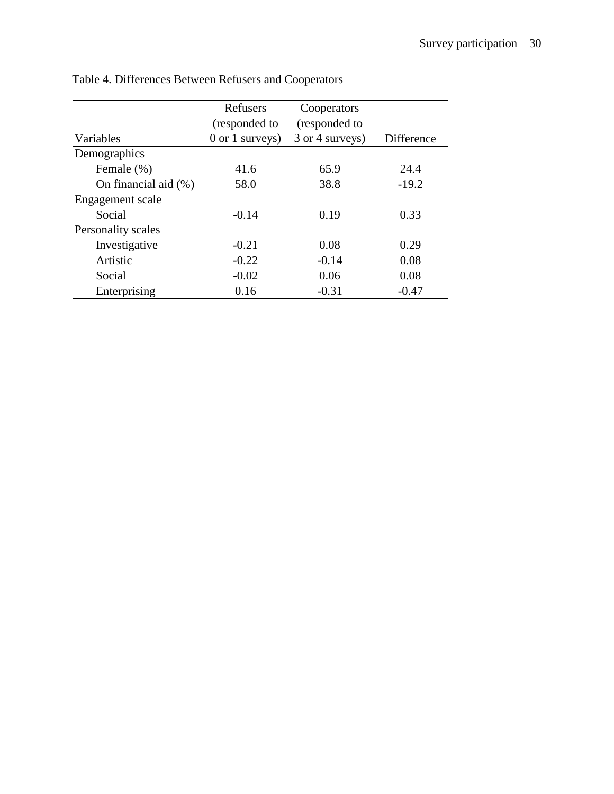|                         | Refusers            | Cooperators     |            |
|-------------------------|---------------------|-----------------|------------|
|                         | (responded to       | (responded to   |            |
| Variables               | $0$ or $1$ surveys) | 3 or 4 surveys) | Difference |
| Demographics            |                     |                 |            |
| Female (%)              | 41.6                | 65.9            | 24.4       |
| On financial aid $(\%)$ | 58.0                | 38.8            | $-19.2$    |
| Engagement scale        |                     |                 |            |
| Social                  | $-0.14$             | 0.19            | 0.33       |
| Personality scales      |                     |                 |            |
| Investigative           | $-0.21$             | 0.08            | 0.29       |
| Artistic                | $-0.22$             | $-0.14$         | 0.08       |
| Social                  | $-0.02$             | 0.06            | 0.08       |
| Enterprising            | 0.16                | $-0.31$         | $-0.47$    |

Table 4. Differences Between Refusers and Cooperators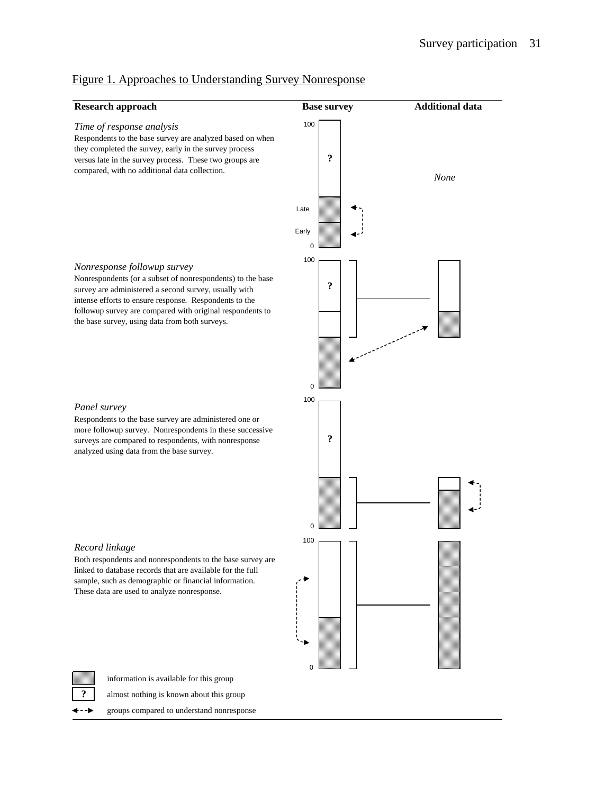

 $\Omega$ 

# Figure 1. Approaches to Understanding Survey Nonresponse

information is available for this group

**?** almost nothing is known about this group

groups compared to understand nonresponse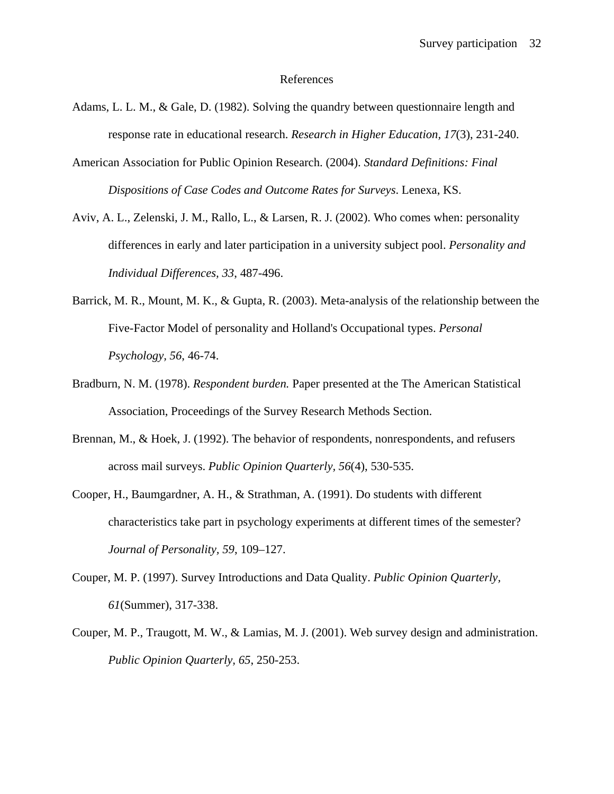#### References

- Adams, L. L. M., & Gale, D. (1982). Solving the quandry between questionnaire length and response rate in educational research. *Research in Higher Education, 17*(3), 231-240.
- American Association for Public Opinion Research. (2004). *Standard Definitions: Final Dispositions of Case Codes and Outcome Rates for Surveys*. Lenexa, KS.
- Aviv, A. L., Zelenski, J. M., Rallo, L., & Larsen, R. J. (2002). Who comes when: personality differences in early and later participation in a university subject pool. *Personality and Individual Differences, 33*, 487-496.
- Barrick, M. R., Mount, M. K., & Gupta, R. (2003). Meta-analysis of the relationship between the Five-Factor Model of personality and Holland's Occupational types. *Personal Psychology, 56*, 46-74.
- Bradburn, N. M. (1978). *Respondent burden.* Paper presented at the The American Statistical Association, Proceedings of the Survey Research Methods Section.
- Brennan, M., & Hoek, J. (1992). The behavior of respondents, nonrespondents, and refusers across mail surveys. *Public Opinion Quarterly, 56*(4), 530-535.
- Cooper, H., Baumgardner, A. H., & Strathman, A. (1991). Do students with different characteristics take part in psychology experiments at different times of the semester? *Journal of Personality, 59*, 109–127.
- Couper, M. P. (1997). Survey Introductions and Data Quality. *Public Opinion Quarterly, 61*(Summer), 317-338.
- Couper, M. P., Traugott, M. W., & Lamias, M. J. (2001). Web survey design and administration. *Public Opinion Quarterly, 65*, 250-253.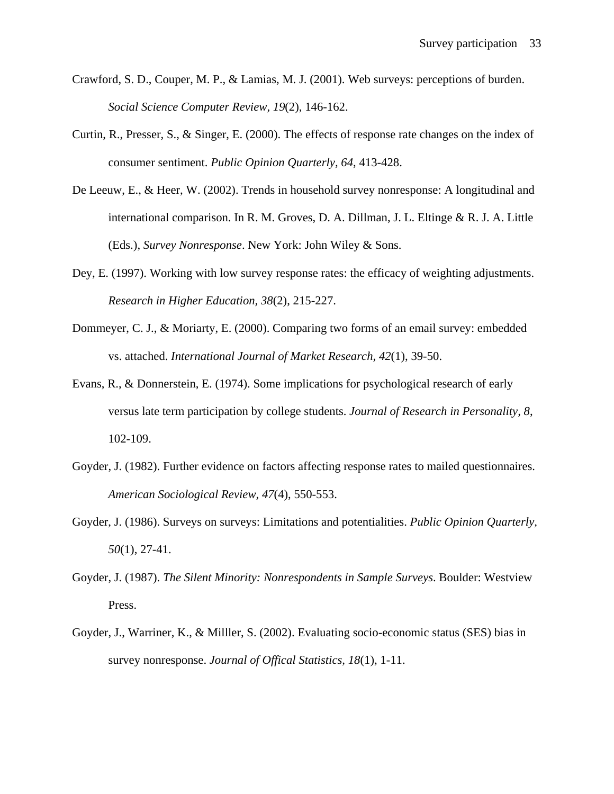- Crawford, S. D., Couper, M. P., & Lamias, M. J. (2001). Web surveys: perceptions of burden. *Social Science Computer Review, 19*(2), 146-162.
- Curtin, R., Presser, S., & Singer, E. (2000). The effects of response rate changes on the index of consumer sentiment. *Public Opinion Quarterly, 64*, 413-428.
- De Leeuw, E., & Heer, W. (2002). Trends in household survey nonresponse: A longitudinal and international comparison. In R. M. Groves, D. A. Dillman, J. L. Eltinge & R. J. A. Little (Eds.), *Survey Nonresponse*. New York: John Wiley & Sons.
- Dey, E. (1997). Working with low survey response rates: the efficacy of weighting adjustments. *Research in Higher Education, 38*(2), 215-227.
- Dommeyer, C. J., & Moriarty, E. (2000). Comparing two forms of an email survey: embedded vs. attached. *International Journal of Market Research, 42*(1), 39-50.
- Evans, R., & Donnerstein, E. (1974). Some implications for psychological research of early versus late term participation by college students. *Journal of Research in Personality, 8*, 102-109.
- Goyder, J. (1982). Further evidence on factors affecting response rates to mailed questionnaires. *American Sociological Review, 47*(4), 550-553.
- Goyder, J. (1986). Surveys on surveys: Limitations and potentialities. *Public Opinion Quarterly, 50*(1), 27-41.
- Goyder, J. (1987). *The Silent Minority: Nonrespondents in Sample Surveys*. Boulder: Westview Press.
- Goyder, J., Warriner, K., & Milller, S. (2002). Evaluating socio-economic status (SES) bias in survey nonresponse. *Journal of Offical Statistics, 18*(1), 1-11.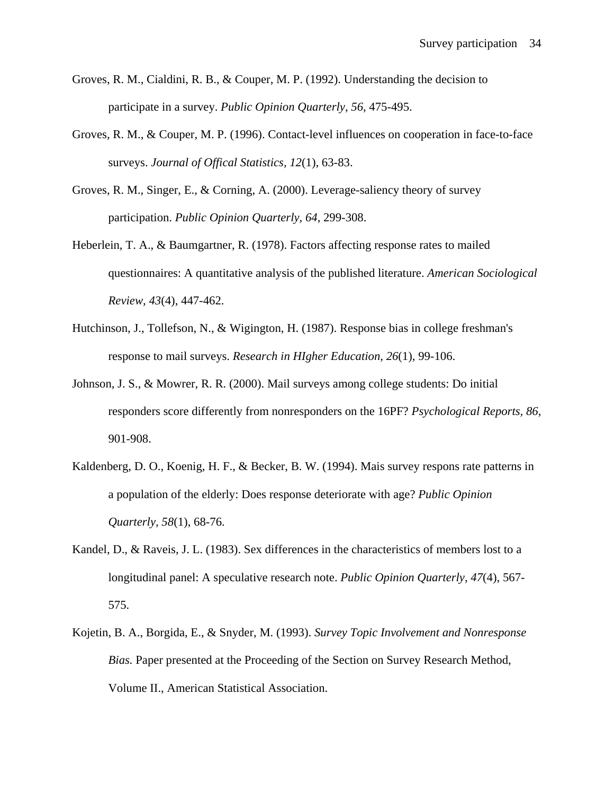- Groves, R. M., Cialdini, R. B., & Couper, M. P. (1992). Understanding the decision to participate in a survey. *Public Opinion Quarterly, 56*, 475-495.
- Groves, R. M., & Couper, M. P. (1996). Contact-level influences on cooperation in face-to-face surveys. *Journal of Offical Statistics, 12*(1), 63-83.
- Groves, R. M., Singer, E., & Corning, A. (2000). Leverage-saliency theory of survey participation. *Public Opinion Quarterly, 64*, 299-308.
- Heberlein, T. A., & Baumgartner, R. (1978). Factors affecting response rates to mailed questionnaires: A quantitative analysis of the published literature. *American Sociological Review, 43*(4), 447-462.
- Hutchinson, J., Tollefson, N., & Wigington, H. (1987). Response bias in college freshman's response to mail surveys. *Research in HIgher Education, 26*(1), 99-106.
- Johnson, J. S., & Mowrer, R. R. (2000). Mail surveys among college students: Do initial responders score differently from nonresponders on the 16PF? *Psychological Reports, 86*, 901-908.
- Kaldenberg, D. O., Koenig, H. F., & Becker, B. W. (1994). Mais survey respons rate patterns in a population of the elderly: Does response deteriorate with age? *Public Opinion Quarterly, 58*(1), 68-76.
- Kandel, D., & Raveis, J. L. (1983). Sex differences in the characteristics of members lost to a longitudinal panel: A speculative research note. *Public Opinion Quarterly, 47*(4), 567- 575.
- Kojetin, B. A., Borgida, E., & Snyder, M. (1993). *Survey Topic Involvement and Nonresponse Bias.* Paper presented at the Proceeding of the Section on Survey Research Method, Volume II., American Statistical Association.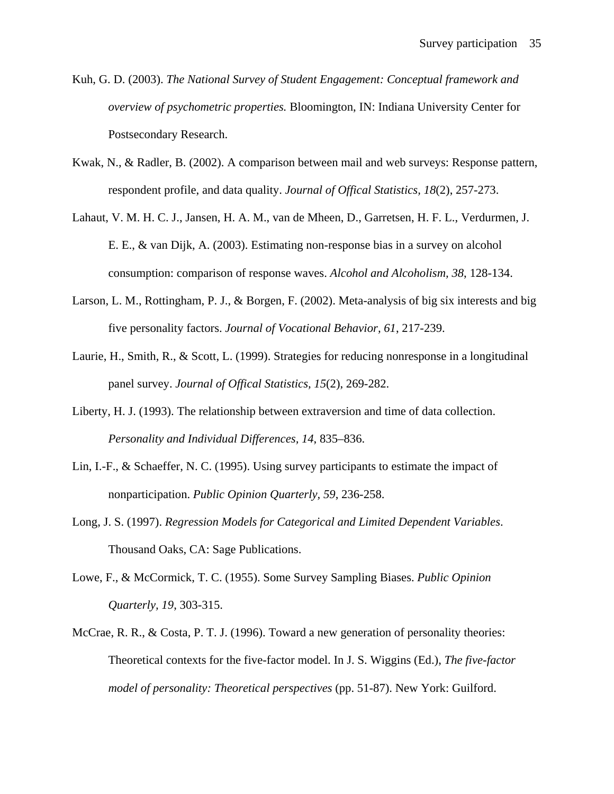- Kuh, G. D. (2003). *The National Survey of Student Engagement: Conceptual framework and overview of psychometric properties.* Bloomington, IN: Indiana University Center for Postsecondary Research.
- Kwak, N., & Radler, B. (2002). A comparison between mail and web surveys: Response pattern, respondent profile, and data quality. *Journal of Offical Statistics, 18*(2), 257-273.
- Lahaut, V. M. H. C. J., Jansen, H. A. M., van de Mheen, D., Garretsen, H. F. L., Verdurmen, J. E. E., & van Dijk, A. (2003). Estimating non-response bias in a survey on alcohol consumption: comparison of response waves. *Alcohol and Alcoholism, 38*, 128-134.
- Larson, L. M., Rottingham, P. J., & Borgen, F. (2002). Meta-analysis of big six interests and big five personality factors. *Journal of Vocational Behavior, 61*, 217-239.
- Laurie, H., Smith, R., & Scott, L. (1999). Strategies for reducing nonresponse in a longitudinal panel survey. *Journal of Offical Statistics, 15*(2), 269-282.
- Liberty, H. J. (1993). The relationship between extraversion and time of data collection. *Personality and Individual Differences, 14*, 835–836.
- Lin, I.-F., & Schaeffer, N. C. (1995). Using survey participants to estimate the impact of nonparticipation. *Public Opinion Quarterly, 59*, 236-258.
- Long, J. S. (1997). *Regression Models for Categorical and Limited Dependent Variables*. Thousand Oaks, CA: Sage Publications.
- Lowe, F., & McCormick, T. C. (1955). Some Survey Sampling Biases. *Public Opinion Quarterly, 19*, 303-315.
- McCrae, R. R., & Costa, P. T. J. (1996). Toward a new generation of personality theories: Theoretical contexts for the five-factor model. In J. S. Wiggins (Ed.), *The five-factor model of personality: Theoretical perspectives* (pp. 51-87). New York: Guilford.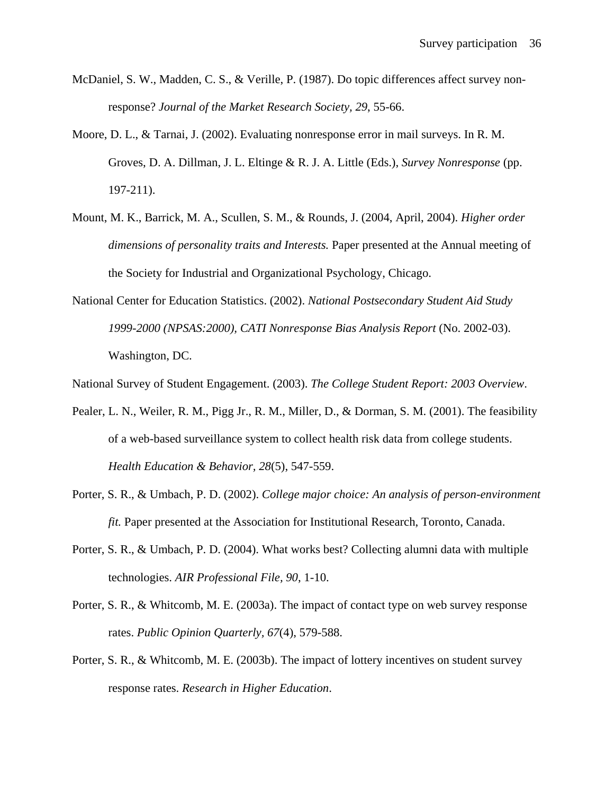- McDaniel, S. W., Madden, C. S., & Verille, P. (1987). Do topic differences affect survey nonresponse? *Journal of the Market Research Society, 29*, 55-66.
- Moore, D. L., & Tarnai, J. (2002). Evaluating nonresponse error in mail surveys. In R. M. Groves, D. A. Dillman, J. L. Eltinge & R. J. A. Little (Eds.), *Survey Nonresponse* (pp. 197-211).
- Mount, M. K., Barrick, M. A., Scullen, S. M., & Rounds, J. (2004, April, 2004). *Higher order dimensions of personality traits and Interests.* Paper presented at the Annual meeting of the Society for Industrial and Organizational Psychology, Chicago.
- National Center for Education Statistics. (2002). *National Postsecondary Student Aid Study 1999-2000 (NPSAS:2000), CATI Nonresponse Bias Analysis Report* (No. 2002-03). Washington, DC.

National Survey of Student Engagement. (2003). *The College Student Report: 2003 Overview*.

- Pealer, L. N., Weiler, R. M., Pigg Jr., R. M., Miller, D., & Dorman, S. M. (2001). The feasibility of a web-based surveillance system to collect health risk data from college students. *Health Education & Behavior, 28*(5), 547-559.
- Porter, S. R., & Umbach, P. D. (2002). *College major choice: An analysis of person-environment fit.* Paper presented at the Association for Institutional Research, Toronto, Canada.
- Porter, S. R., & Umbach, P. D. (2004). What works best? Collecting alumni data with multiple technologies. *AIR Professional File, 90*, 1-10.
- Porter, S. R., & Whitcomb, M. E. (2003a). The impact of contact type on web survey response rates. *Public Opinion Quarterly, 67*(4), 579-588.
- Porter, S. R., & Whitcomb, M. E. (2003b). The impact of lottery incentives on student survey response rates. *Research in Higher Education*.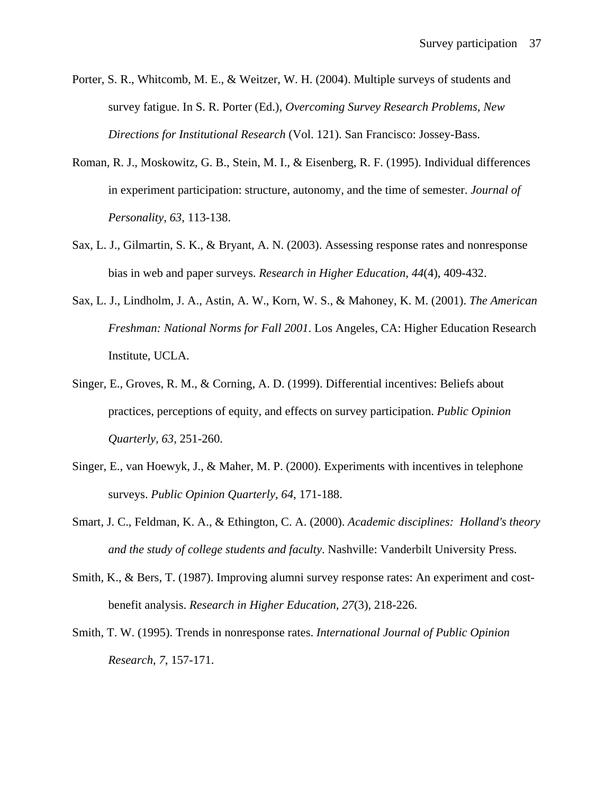- Porter, S. R., Whitcomb, M. E., & Weitzer, W. H. (2004). Multiple surveys of students and survey fatigue. In S. R. Porter (Ed.), *Overcoming Survey Research Problems, New Directions for Institutional Research* (Vol. 121). San Francisco: Jossey-Bass.
- Roman, R. J., Moskowitz, G. B., Stein, M. I., & Eisenberg, R. F. (1995). Individual differences in experiment participation: structure, autonomy, and the time of semester. *Journal of Personality, 63*, 113-138.
- Sax, L. J., Gilmartin, S. K., & Bryant, A. N. (2003). Assessing response rates and nonresponse bias in web and paper surveys. *Research in Higher Education, 44*(4), 409-432.
- Sax, L. J., Lindholm, J. A., Astin, A. W., Korn, W. S., & Mahoney, K. M. (2001). *The American Freshman: National Norms for Fall 2001*. Los Angeles, CA: Higher Education Research Institute, UCLA.
- Singer, E., Groves, R. M., & Corning, A. D. (1999). Differential incentives: Beliefs about practices, perceptions of equity, and effects on survey participation. *Public Opinion Quarterly, 63*, 251-260.
- Singer, E., van Hoewyk, J., & Maher, M. P. (2000). Experiments with incentives in telephone surveys. *Public Opinion Quarterly, 64*, 171-188.
- Smart, J. C., Feldman, K. A., & Ethington, C. A. (2000). *Academic disciplines: Holland's theory and the study of college students and faculty*. Nashville: Vanderbilt University Press.
- Smith, K., & Bers, T. (1987). Improving alumni survey response rates: An experiment and costbenefit analysis. *Research in Higher Education, 27*(3), 218-226.
- Smith, T. W. (1995). Trends in nonresponse rates. *International Journal of Public Opinion Research, 7*, 157-171.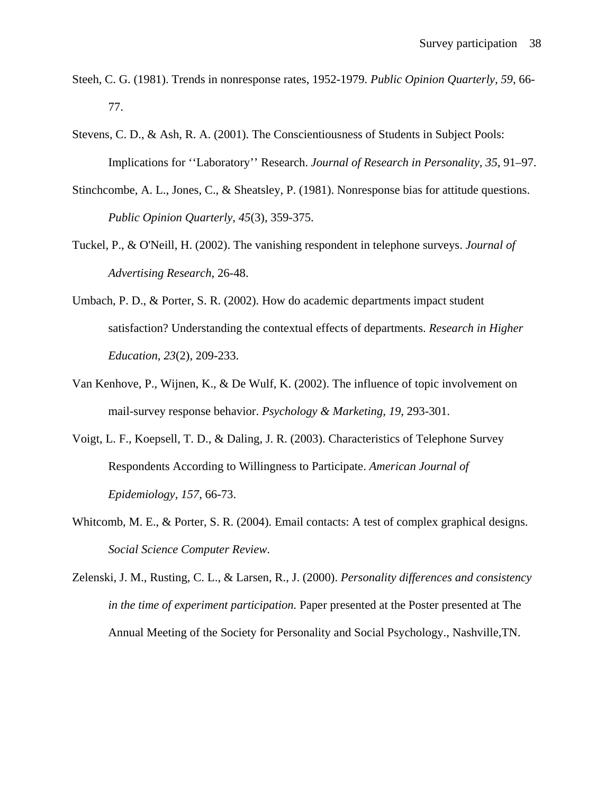- Steeh, C. G. (1981). Trends in nonresponse rates, 1952-1979. *Public Opinion Quarterly, 59*, 66- 77.
- Stevens, C. D., & Ash, R. A. (2001). The Conscientiousness of Students in Subject Pools: Implications for ''Laboratory'' Research. *Journal of Research in Personality, 35*, 91–97.
- Stinchcombe, A. L., Jones, C., & Sheatsley, P. (1981). Nonresponse bias for attitude questions. *Public Opinion Quarterly, 45*(3), 359-375.
- Tuckel, P., & O'Neill, H. (2002). The vanishing respondent in telephone surveys. *Journal of Advertising Research*, 26-48.
- Umbach, P. D., & Porter, S. R. (2002). How do academic departments impact student satisfaction? Understanding the contextual effects of departments. *Research in Higher Education, 23*(2), 209-233.
- Van Kenhove, P., Wijnen, K., & De Wulf, K. (2002). The influence of topic involvement on mail-survey response behavior. *Psychology & Marketing, 19*, 293-301.
- Voigt, L. F., Koepsell, T. D., & Daling, J. R. (2003). Characteristics of Telephone Survey Respondents According to Willingness to Participate. *American Journal of Epidemiology, 157*, 66-73.
- Whitcomb, M. E., & Porter, S. R. (2004). Email contacts: A test of complex graphical designs. *Social Science Computer Review*.
- Zelenski, J. M., Rusting, C. L., & Larsen, R., J. (2000). *Personality differences and consistency in the time of experiment participation.* Paper presented at the Poster presented at The Annual Meeting of the Society for Personality and Social Psychology., Nashville,TN.